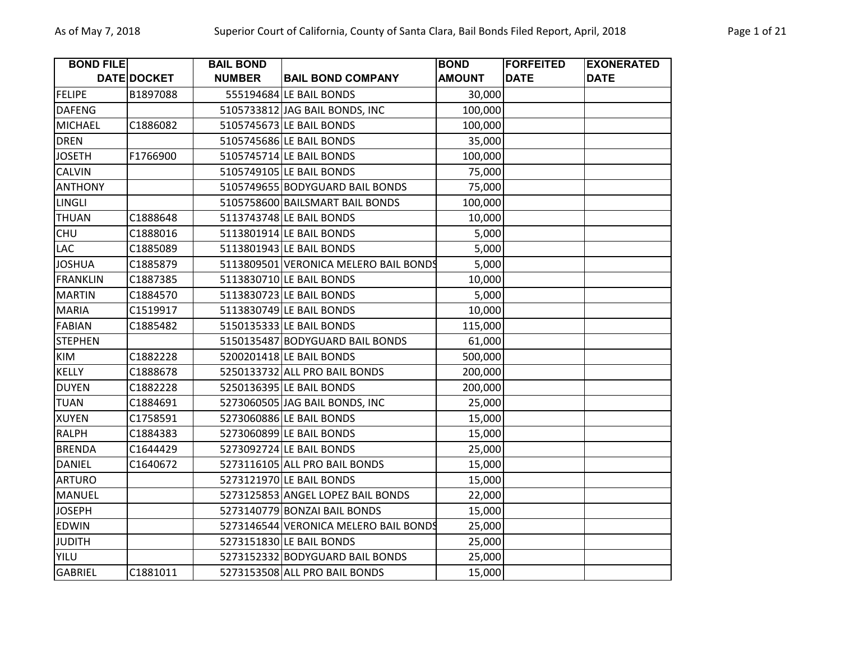| <b>BOND FILE</b> |             | <b>BAIL BOND</b> |                                       | <b>BOND</b>   | <b>FORFEITED</b> | <b>EXONERATED</b> |
|------------------|-------------|------------------|---------------------------------------|---------------|------------------|-------------------|
|                  | DATE DOCKET | <b>NUMBER</b>    | <b>BAIL BOND COMPANY</b>              | <b>AMOUNT</b> | <b>DATE</b>      | <b>DATE</b>       |
| <b>FELIPE</b>    | B1897088    |                  | 555194684 LE BAIL BONDS               | 30,000        |                  |                   |
| <b>DAFENG</b>    |             |                  | 5105733812 JAG BAIL BONDS, INC        | 100,000       |                  |                   |
| <b>MICHAEL</b>   | C1886082    |                  | 5105745673 LE BAIL BONDS              | 100,000       |                  |                   |
| <b>DREN</b>      |             |                  | 5105745686 LE BAIL BONDS              | 35,000        |                  |                   |
| <b>JOSETH</b>    | F1766900    |                  | 5105745714 LE BAIL BONDS              | 100,000       |                  |                   |
| <b>CALVIN</b>    |             |                  | 5105749105 LE BAIL BONDS              | 75,000        |                  |                   |
| <b>ANTHONY</b>   |             |                  | 5105749655 BODYGUARD BAIL BONDS       | 75,000        |                  |                   |
| LINGLI           |             |                  | 5105758600 BAILSMART BAIL BONDS       | 100,000       |                  |                   |
| <b>THUAN</b>     | C1888648    |                  | 5113743748 LE BAIL BONDS              | 10,000        |                  |                   |
| <b>CHU</b>       | C1888016    |                  | 5113801914 LE BAIL BONDS              | 5,000         |                  |                   |
| LAC              | C1885089    |                  | 5113801943 LE BAIL BONDS              | 5,000         |                  |                   |
| <b>JOSHUA</b>    | C1885879    |                  | 5113809501 VERONICA MELERO BAIL BONDS | 5,000         |                  |                   |
| <b>FRANKLIN</b>  | C1887385    |                  | 5113830710 LE BAIL BONDS              | 10,000        |                  |                   |
| <b>MARTIN</b>    | C1884570    |                  | 5113830723 LE BAIL BONDS              | 5,000         |                  |                   |
| <b>MARIA</b>     | C1519917    |                  | 5113830749 LE BAIL BONDS              | 10,000        |                  |                   |
| <b>FABIAN</b>    | C1885482    |                  | 5150135333 LE BAIL BONDS              | 115,000       |                  |                   |
| <b>STEPHEN</b>   |             |                  | 5150135487 BODYGUARD BAIL BONDS       | 61,000        |                  |                   |
| <b>KIM</b>       | C1882228    |                  | 5200201418 LE BAIL BONDS              | 500,000       |                  |                   |
| <b>KELLY</b>     | C1888678    |                  | 5250133732 ALL PRO BAIL BONDS         | 200,000       |                  |                   |
| <b>DUYEN</b>     | C1882228    |                  | 5250136395 LE BAIL BONDS              | 200,000       |                  |                   |
| <b>TUAN</b>      | C1884691    |                  | 5273060505 JAG BAIL BONDS, INC        | 25,000        |                  |                   |
| <b>XUYEN</b>     | C1758591    |                  | 5273060886 LE BAIL BONDS              | 15,000        |                  |                   |
| <b>RALPH</b>     | C1884383    |                  | 5273060899 LE BAIL BONDS              | 15,000        |                  |                   |
| <b>BRENDA</b>    | C1644429    |                  | 5273092724 LE BAIL BONDS              | 25,000        |                  |                   |
| <b>DANIEL</b>    | C1640672    |                  | 5273116105 ALL PRO BAIL BONDS         | 15,000        |                  |                   |
| <b>ARTURO</b>    |             |                  | 5273121970 LE BAIL BONDS              | 15,000        |                  |                   |
| <b>MANUEL</b>    |             |                  | 5273125853 ANGEL LOPEZ BAIL BONDS     | 22,000        |                  |                   |
| <b>JOSEPH</b>    |             |                  | 5273140779 BONZAI BAIL BONDS          | 15,000        |                  |                   |
| <b>EDWIN</b>     |             |                  | 5273146544 VERONICA MELERO BAIL BONDS | 25,000        |                  |                   |
| <b>JUDITH</b>    |             |                  | 5273151830 LE BAIL BONDS              | 25,000        |                  |                   |
| <b>YILU</b>      |             |                  | 5273152332 BODYGUARD BAIL BONDS       | 25,000        |                  |                   |
| <b>GABRIEL</b>   | C1881011    |                  | 5273153508 ALL PRO BAIL BONDS         | 15,000        |                  |                   |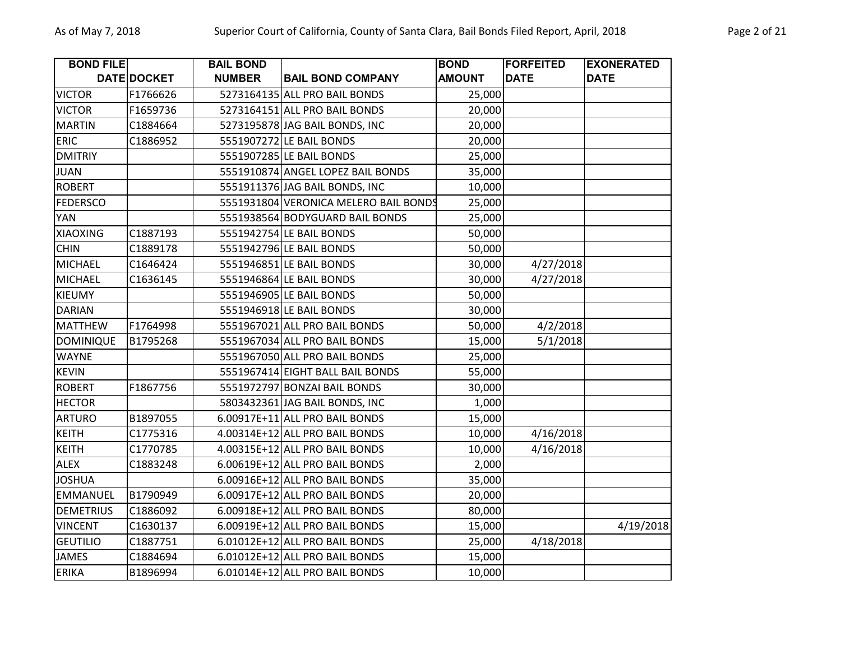| <b>BOND FILE</b> |             | <b>BAIL BOND</b> |                                       | <b>BOND</b>   | <b>FORFEITED</b> | <b>EXONERATED</b> |
|------------------|-------------|------------------|---------------------------------------|---------------|------------------|-------------------|
|                  | DATE DOCKET | <b>NUMBER</b>    | <b>BAIL BOND COMPANY</b>              | <b>AMOUNT</b> | <b>DATE</b>      | <b>DATE</b>       |
| <b>VICTOR</b>    | F1766626    |                  | 5273164135 ALL PRO BAIL BONDS         | 25,000        |                  |                   |
| <b>VICTOR</b>    | F1659736    |                  | 5273164151 ALL PRO BAIL BONDS         | 20,000        |                  |                   |
| <b>MARTIN</b>    | C1884664    |                  | 5273195878 JAG BAIL BONDS, INC        | 20,000        |                  |                   |
| <b>ERIC</b>      | C1886952    |                  | 5551907272 LE BAIL BONDS              | 20,000        |                  |                   |
| <b>DMITRIY</b>   |             |                  | 5551907285 LE BAIL BONDS              | 25,000        |                  |                   |
| <b>JUAN</b>      |             |                  | 5551910874 ANGEL LOPEZ BAIL BONDS     | 35,000        |                  |                   |
| <b>ROBERT</b>    |             |                  | 5551911376 JAG BAIL BONDS, INC        | 10,000        |                  |                   |
| <b>FEDERSCO</b>  |             |                  | 5551931804 VERONICA MELERO BAIL BONDS | 25,000        |                  |                   |
| YAN              |             |                  | 5551938564 BODYGUARD BAIL BONDS       | 25,000        |                  |                   |
| <b>XIAOXING</b>  | C1887193    |                  | 5551942754 LE BAIL BONDS              | 50,000        |                  |                   |
| <b>CHIN</b>      | C1889178    |                  | 5551942796 LE BAIL BONDS              | 50,000        |                  |                   |
| <b>MICHAEL</b>   | C1646424    |                  | 5551946851 LE BAIL BONDS              | 30,000        | 4/27/2018        |                   |
| <b>MICHAEL</b>   | C1636145    |                  | 5551946864 LE BAIL BONDS              | 30,000        | 4/27/2018        |                   |
| <b>KIEUMY</b>    |             |                  | 5551946905 LE BAIL BONDS              | 50,000        |                  |                   |
| <b>DARIAN</b>    |             |                  | 5551946918 LE BAIL BONDS              | 30,000        |                  |                   |
| <b>MATTHEW</b>   | F1764998    |                  | 5551967021 ALL PRO BAIL BONDS         | 50,000        | 4/2/2018         |                   |
| <b>DOMINIQUE</b> | B1795268    |                  | 5551967034 ALL PRO BAIL BONDS         | 15,000        | 5/1/2018         |                   |
| <b>WAYNE</b>     |             |                  | 5551967050 ALL PRO BAIL BONDS         | 25,000        |                  |                   |
| <b>KEVIN</b>     |             |                  | 5551967414 EIGHT BALL BAIL BONDS      | 55,000        |                  |                   |
| <b>ROBERT</b>    | F1867756    |                  | 5551972797 BONZAI BAIL BONDS          | 30,000        |                  |                   |
| <b>HECTOR</b>    |             |                  | 5803432361 JAG BAIL BONDS, INC        | 1,000         |                  |                   |
| <b>ARTURO</b>    | B1897055    |                  | 6.00917E+11 ALL PRO BAIL BONDS        | 15,000        |                  |                   |
| <b>KEITH</b>     | C1775316    |                  | 4.00314E+12 ALL PRO BAIL BONDS        | 10,000        | 4/16/2018        |                   |
| <b>KEITH</b>     | C1770785    |                  | 4.00315E+12 ALL PRO BAIL BONDS        | 10,000        | 4/16/2018        |                   |
| <b>ALEX</b>      | C1883248    |                  | 6.00619E+12 ALL PRO BAIL BONDS        | 2,000         |                  |                   |
| <b>JOSHUA</b>    |             |                  | 6.00916E+12 ALL PRO BAIL BONDS        | 35,000        |                  |                   |
| <b>EMMANUEL</b>  | B1790949    |                  | 6.00917E+12 ALL PRO BAIL BONDS        | 20,000        |                  |                   |
| <b>DEMETRIUS</b> | C1886092    |                  | 6.00918E+12 ALL PRO BAIL BONDS        | 80,000        |                  |                   |
| <b>VINCENT</b>   | C1630137    |                  | 6.00919E+12 ALL PRO BAIL BONDS        | 15,000        |                  | 4/19/2018         |
| <b>GEUTILIO</b>  | C1887751    |                  | 6.01012E+12 ALL PRO BAIL BONDS        | 25,000        | 4/18/2018        |                   |
| <b>JAMES</b>     | C1884694    |                  | 6.01012E+12 ALL PRO BAIL BONDS        | 15,000        |                  |                   |
| <b>ERIKA</b>     | B1896994    |                  | 6.01014E+12 ALL PRO BAIL BONDS        | 10,000        |                  |                   |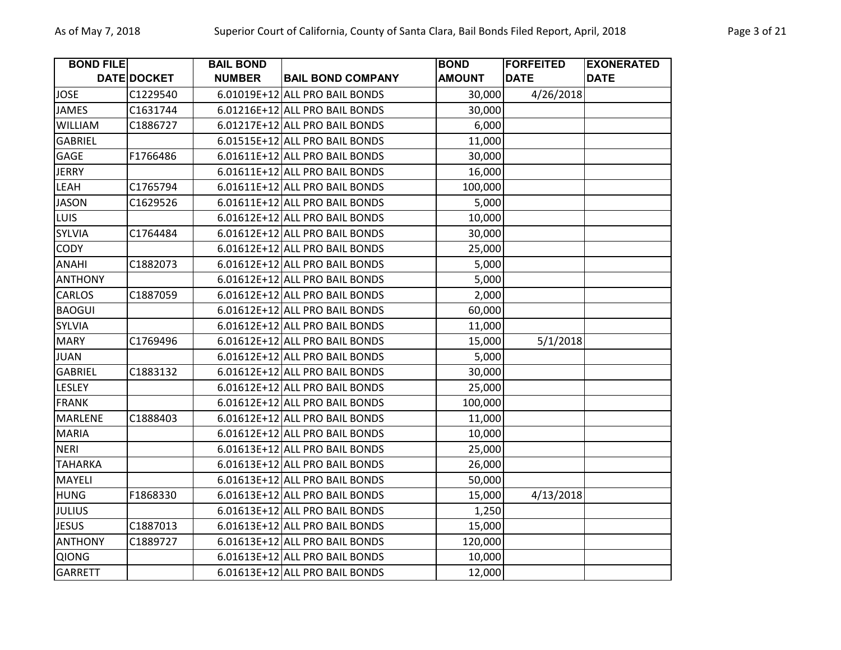| <b>BOND FILE</b> |                    | <b>BAIL BOND</b> |                                | <b>BOND</b>   | <b>FORFEITED</b> | <b>EXONERATED</b> |
|------------------|--------------------|------------------|--------------------------------|---------------|------------------|-------------------|
|                  | <b>DATE DOCKET</b> | <b>NUMBER</b>    | <b>BAIL BOND COMPANY</b>       | <b>AMOUNT</b> | <b>DATE</b>      | <b>DATE</b>       |
| <b>JOSE</b>      | C1229540           |                  | 6.01019E+12 ALL PRO BAIL BONDS | 30,000        | 4/26/2018        |                   |
| <b>JAMES</b>     | C1631744           |                  | 6.01216E+12 ALL PRO BAIL BONDS | 30,000        |                  |                   |
| <b>WILLIAM</b>   | C1886727           |                  | 6.01217E+12 ALL PRO BAIL BONDS | 6,000         |                  |                   |
| <b>GABRIEL</b>   |                    |                  | 6.01515E+12 ALL PRO BAIL BONDS | 11,000        |                  |                   |
| GAGE             | F1766486           |                  | 6.01611E+12 ALL PRO BAIL BONDS | 30,000        |                  |                   |
| <b>JERRY</b>     |                    |                  | 6.01611E+12 ALL PRO BAIL BONDS | 16,000        |                  |                   |
| LEAH             | C1765794           |                  | 6.01611E+12 ALL PRO BAIL BONDS | 100,000       |                  |                   |
| <b>JASON</b>     | C1629526           |                  | 6.01611E+12 ALL PRO BAIL BONDS | 5,000         |                  |                   |
| <b>LUIS</b>      |                    |                  | 6.01612E+12 ALL PRO BAIL BONDS | 10,000        |                  |                   |
| <b>SYLVIA</b>    | C1764484           |                  | 6.01612E+12 ALL PRO BAIL BONDS | 30,000        |                  |                   |
| <b>CODY</b>      |                    |                  | 6.01612E+12 ALL PRO BAIL BONDS | 25,000        |                  |                   |
| ANAHI            | C1882073           |                  | 6.01612E+12 ALL PRO BAIL BONDS | 5,000         |                  |                   |
| <b>ANTHONY</b>   |                    |                  | 6.01612E+12 ALL PRO BAIL BONDS | 5,000         |                  |                   |
| CARLOS           | C1887059           |                  | 6.01612E+12 ALL PRO BAIL BONDS | 2,000         |                  |                   |
| <b>BAOGUI</b>    |                    |                  | 6.01612E+12 ALL PRO BAIL BONDS | 60,000        |                  |                   |
| SYLVIA           |                    |                  | 6.01612E+12 ALL PRO BAIL BONDS | 11,000        |                  |                   |
| <b>MARY</b>      | C1769496           |                  | 6.01612E+12 ALL PRO BAIL BONDS | 15,000        | 5/1/2018         |                   |
| <b>JUAN</b>      |                    |                  | 6.01612E+12 ALL PRO BAIL BONDS | 5,000         |                  |                   |
| <b>GABRIEL</b>   | C1883132           |                  | 6.01612E+12 ALL PRO BAIL BONDS | 30,000        |                  |                   |
| LESLEY           |                    |                  | 6.01612E+12 ALL PRO BAIL BONDS | 25,000        |                  |                   |
| <b>FRANK</b>     |                    |                  | 6.01612E+12 ALL PRO BAIL BONDS | 100,000       |                  |                   |
| MARLENE          | C1888403           |                  | 6.01612E+12 ALL PRO BAIL BONDS | 11,000        |                  |                   |
| <b>MARIA</b>     |                    |                  | 6.01612E+12 ALL PRO BAIL BONDS | 10,000        |                  |                   |
| <b>NERI</b>      |                    |                  | 6.01613E+12 ALL PRO BAIL BONDS | 25,000        |                  |                   |
| <b>TAHARKA</b>   |                    |                  | 6.01613E+12 ALL PRO BAIL BONDS | 26,000        |                  |                   |
| MAYELI           |                    |                  | 6.01613E+12 ALL PRO BAIL BONDS | 50,000        |                  |                   |
| <b>HUNG</b>      | F1868330           |                  | 6.01613E+12 ALL PRO BAIL BONDS | 15,000        | 4/13/2018        |                   |
| <b>JULIUS</b>    |                    |                  | 6.01613E+12 ALL PRO BAIL BONDS | 1,250         |                  |                   |
| <b>JESUS</b>     | C1887013           |                  | 6.01613E+12 ALL PRO BAIL BONDS | 15,000        |                  |                   |
| <b>ANTHONY</b>   | C1889727           |                  | 6.01613E+12 ALL PRO BAIL BONDS | 120,000       |                  |                   |
| <b>QIONG</b>     |                    |                  | 6.01613E+12 ALL PRO BAIL BONDS | 10,000        |                  |                   |
| <b>GARRETT</b>   |                    |                  | 6.01613E+12 ALL PRO BAIL BONDS | 12,000        |                  |                   |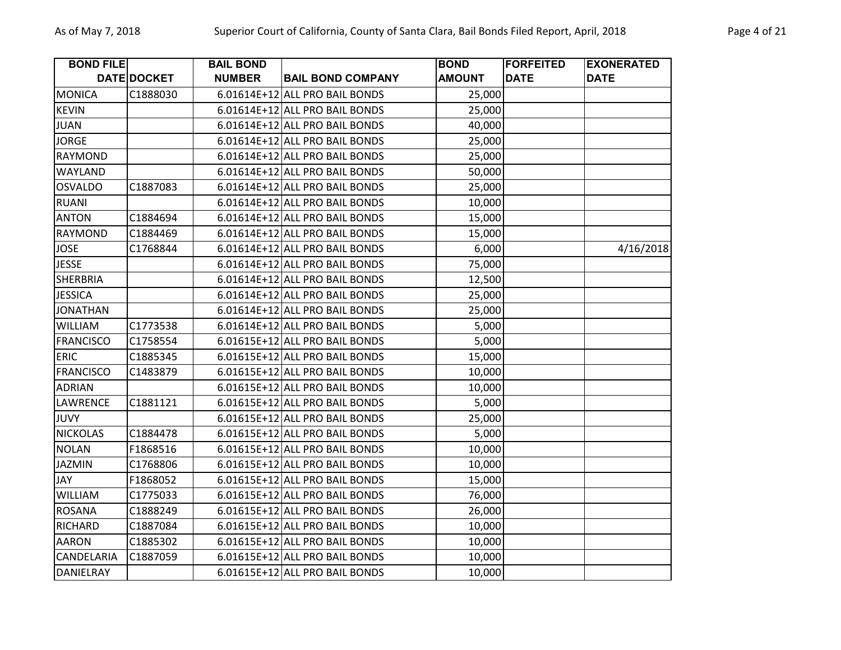| <b>BOND FILE</b>  |             | <b>BAIL BOND</b> |                                | <b>BOND</b>   | <b>FORFEITED</b> | <b>EXONERATED</b> |
|-------------------|-------------|------------------|--------------------------------|---------------|------------------|-------------------|
|                   | DATE DOCKET | <b>NUMBER</b>    | <b>BAIL BOND COMPANY</b>       | <b>AMOUNT</b> | <b>DATE</b>      | <b>DATE</b>       |
| <b>MONICA</b>     | C1888030    |                  | 6.01614E+12 ALL PRO BAIL BONDS | 25,000        |                  |                   |
| <b>KEVIN</b>      |             |                  | 6.01614E+12 ALL PRO BAIL BONDS | 25,000        |                  |                   |
| <b>JUAN</b>       |             |                  | 6.01614E+12 ALL PRO BAIL BONDS | 40,000        |                  |                   |
| <b>JORGE</b>      |             |                  | 6.01614E+12 ALL PRO BAIL BONDS | 25,000        |                  |                   |
| <b>RAYMOND</b>    |             |                  | 6.01614E+12 ALL PRO BAIL BONDS | 25,000        |                  |                   |
| <b>WAYLAND</b>    |             |                  | 6.01614E+12 ALL PRO BAIL BONDS | 50,000        |                  |                   |
| <b>OSVALDO</b>    | C1887083    |                  | 6.01614E+12 ALL PRO BAIL BONDS | 25,000        |                  |                   |
| <b>RUANI</b>      |             |                  | 6.01614E+12 ALL PRO BAIL BONDS | 10,000        |                  |                   |
| <b>ANTON</b>      | C1884694    |                  | 6.01614E+12 ALL PRO BAIL BONDS | 15,000        |                  |                   |
| <b>RAYMOND</b>    | C1884469    |                  | 6.01614E+12 ALL PRO BAIL BONDS | 15,000        |                  |                   |
| <b>JOSE</b>       | C1768844    |                  | 6.01614E+12 ALL PRO BAIL BONDS | 6,000         |                  | 4/16/2018         |
| <b>JESSE</b>      |             |                  | 6.01614E+12 ALL PRO BAIL BONDS | 75,000        |                  |                   |
| <b>SHERBRIA</b>   |             |                  | 6.01614E+12 ALL PRO BAIL BONDS | 12,500        |                  |                   |
| <b>JESSICA</b>    |             |                  | 6.01614E+12 ALL PRO BAIL BONDS | 25,000        |                  |                   |
| <b>JONATHAN</b>   |             |                  | 6.01614E+12 ALL PRO BAIL BONDS | 25,000        |                  |                   |
| <b>WILLIAM</b>    | C1773538    |                  | 6.01614E+12 ALL PRO BAIL BONDS | 5,000         |                  |                   |
| <b>FRANCISCO</b>  | C1758554    |                  | 6.01615E+12 ALL PRO BAIL BONDS | 5,000         |                  |                   |
| <b>ERIC</b>       | C1885345    |                  | 6.01615E+12 ALL PRO BAIL BONDS | 15,000        |                  |                   |
| <b>FRANCISCO</b>  | C1483879    |                  | 6.01615E+12 ALL PRO BAIL BONDS | 10,000        |                  |                   |
| <b>ADRIAN</b>     |             |                  | 6.01615E+12 ALL PRO BAIL BONDS | 10,000        |                  |                   |
| LAWRENCE          | C1881121    |                  | 6.01615E+12 ALL PRO BAIL BONDS | 5,000         |                  |                   |
| <b>JUVY</b>       |             |                  | 6.01615E+12 ALL PRO BAIL BONDS | 25,000        |                  |                   |
| <b>NICKOLAS</b>   | C1884478    |                  | 6.01615E+12 ALL PRO BAIL BONDS | 5,000         |                  |                   |
| <b>NOLAN</b>      | F1868516    |                  | 6.01615E+12 ALL PRO BAIL BONDS | 10,000        |                  |                   |
| <b>JAZMIN</b>     | C1768806    |                  | 6.01615E+12 ALL PRO BAIL BONDS | 10,000        |                  |                   |
| JAY               | F1868052    |                  | 6.01615E+12 ALL PRO BAIL BONDS | 15,000        |                  |                   |
| <b>WILLIAM</b>    | C1775033    |                  | 6.01615E+12 ALL PRO BAIL BONDS | 76,000        |                  |                   |
| <b>ROSANA</b>     | C1888249    |                  | 6.01615E+12 ALL PRO BAIL BONDS | 26,000        |                  |                   |
| <b>RICHARD</b>    | C1887084    |                  | 6.01615E+12 ALL PRO BAIL BONDS | 10,000        |                  |                   |
| <b>AARON</b>      | C1885302    |                  | 6.01615E+12 ALL PRO BAIL BONDS | 10,000        |                  |                   |
| <b>CANDELARIA</b> | C1887059    |                  | 6.01615E+12 ALL PRO BAIL BONDS | 10,000        |                  |                   |
| <b>DANIELRAY</b>  |             |                  | 6.01615E+12 ALL PRO BAIL BONDS | 10,000        |                  |                   |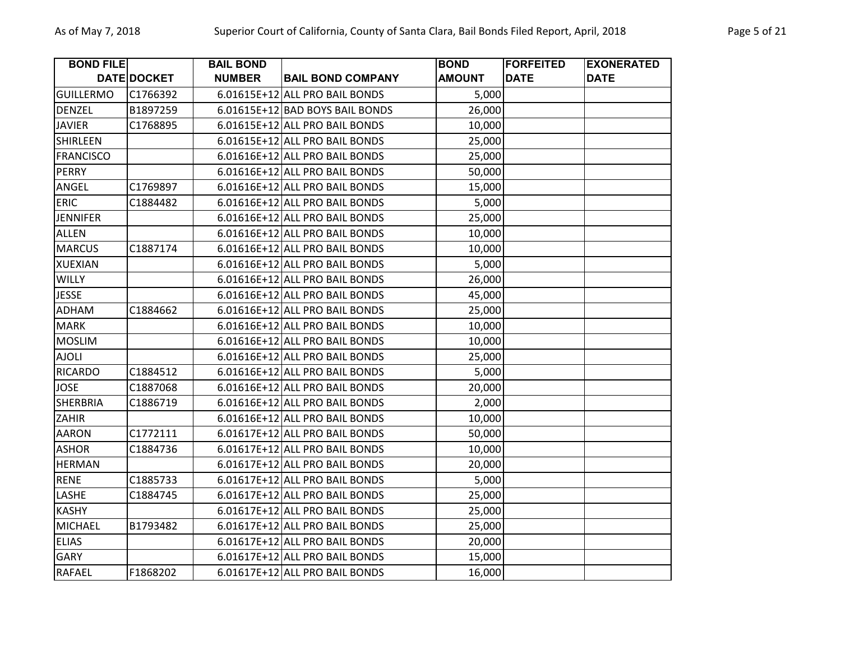| <b>BOND FILE</b> |             | <b>BAIL BOND</b> |                                 | <b>BOND</b>   | <b>FORFEITED</b> | <b>EXONERATED</b> |
|------------------|-------------|------------------|---------------------------------|---------------|------------------|-------------------|
|                  | DATE DOCKET | <b>NUMBER</b>    | <b>BAIL BOND COMPANY</b>        | <b>AMOUNT</b> | <b>DATE</b>      | <b>DATE</b>       |
| <b>GUILLERMO</b> | C1766392    |                  | 6.01615E+12 ALL PRO BAIL BONDS  | 5,000         |                  |                   |
| <b>DENZEL</b>    | B1897259    |                  | 6.01615E+12 BAD BOYS BAIL BONDS | 26,000        |                  |                   |
| <b>JAVIER</b>    | C1768895    |                  | 6.01615E+12 ALL PRO BAIL BONDS  | 10,000        |                  |                   |
| <b>SHIRLEEN</b>  |             |                  | 6.01615E+12 ALL PRO BAIL BONDS  | 25,000        |                  |                   |
| <b>FRANCISCO</b> |             |                  | 6.01616E+12 ALL PRO BAIL BONDS  | 25,000        |                  |                   |
| <b>PERRY</b>     |             |                  | 6.01616E+12 ALL PRO BAIL BONDS  | 50,000        |                  |                   |
| ANGEL            | C1769897    |                  | 6.01616E+12 ALL PRO BAIL BONDS  | 15,000        |                  |                   |
| <b>ERIC</b>      | C1884482    |                  | 6.01616E+12 ALL PRO BAIL BONDS  | 5,000         |                  |                   |
| <b>JENNIFER</b>  |             |                  | 6.01616E+12 ALL PRO BAIL BONDS  | 25,000        |                  |                   |
| <b>ALLEN</b>     |             |                  | 6.01616E+12 ALL PRO BAIL BONDS  | 10,000        |                  |                   |
| <b>MARCUS</b>    | C1887174    |                  | 6.01616E+12 ALL PRO BAIL BONDS  | 10,000        |                  |                   |
| <b>XUEXIAN</b>   |             |                  | 6.01616E+12 ALL PRO BAIL BONDS  | 5,000         |                  |                   |
| <b>WILLY</b>     |             |                  | 6.01616E+12 ALL PRO BAIL BONDS  | 26,000        |                  |                   |
| <b>JESSE</b>     |             |                  | 6.01616E+12 ALL PRO BAIL BONDS  | 45,000        |                  |                   |
| <b>ADHAM</b>     | C1884662    |                  | 6.01616E+12 ALL PRO BAIL BONDS  | 25,000        |                  |                   |
| <b>MARK</b>      |             |                  | 6.01616E+12 ALL PRO BAIL BONDS  | 10,000        |                  |                   |
| <b>MOSLIM</b>    |             |                  | 6.01616E+12 ALL PRO BAIL BONDS  | 10,000        |                  |                   |
| <b>AJOLI</b>     |             |                  | 6.01616E+12 ALL PRO BAIL BONDS  | 25,000        |                  |                   |
| <b>RICARDO</b>   | C1884512    |                  | 6.01616E+12 ALL PRO BAIL BONDS  | 5,000         |                  |                   |
| <b>JOSE</b>      | C1887068    |                  | 6.01616E+12 ALL PRO BAIL BONDS  | 20,000        |                  |                   |
| <b>SHERBRIA</b>  | C1886719    |                  | 6.01616E+12 ALL PRO BAIL BONDS  | 2,000         |                  |                   |
| <b>ZAHIR</b>     |             |                  | 6.01616E+12 ALL PRO BAIL BONDS  | 10,000        |                  |                   |
| <b>AARON</b>     | C1772111    |                  | 6.01617E+12 ALL PRO BAIL BONDS  | 50,000        |                  |                   |
| <b>ASHOR</b>     | C1884736    |                  | 6.01617E+12 ALL PRO BAIL BONDS  | 10,000        |                  |                   |
| <b>HERMAN</b>    |             |                  | 6.01617E+12 ALL PRO BAIL BONDS  | 20,000        |                  |                   |
| <b>RENE</b>      | C1885733    |                  | 6.01617E+12 ALL PRO BAIL BONDS  | 5,000         |                  |                   |
| LASHE            | C1884745    |                  | 6.01617E+12 ALL PRO BAIL BONDS  | 25,000        |                  |                   |
| <b>KASHY</b>     |             |                  | 6.01617E+12 ALL PRO BAIL BONDS  | 25,000        |                  |                   |
| <b>MICHAEL</b>   | B1793482    |                  | 6.01617E+12 ALL PRO BAIL BONDS  | 25,000        |                  |                   |
| <b>ELIAS</b>     |             |                  | 6.01617E+12 ALL PRO BAIL BONDS  | 20,000        |                  |                   |
| <b>GARY</b>      |             |                  | 6.01617E+12 ALL PRO BAIL BONDS  | 15,000        |                  |                   |
| RAFAEL           | F1868202    |                  | 6.01617E+12 ALL PRO BAIL BONDS  | 16,000        |                  |                   |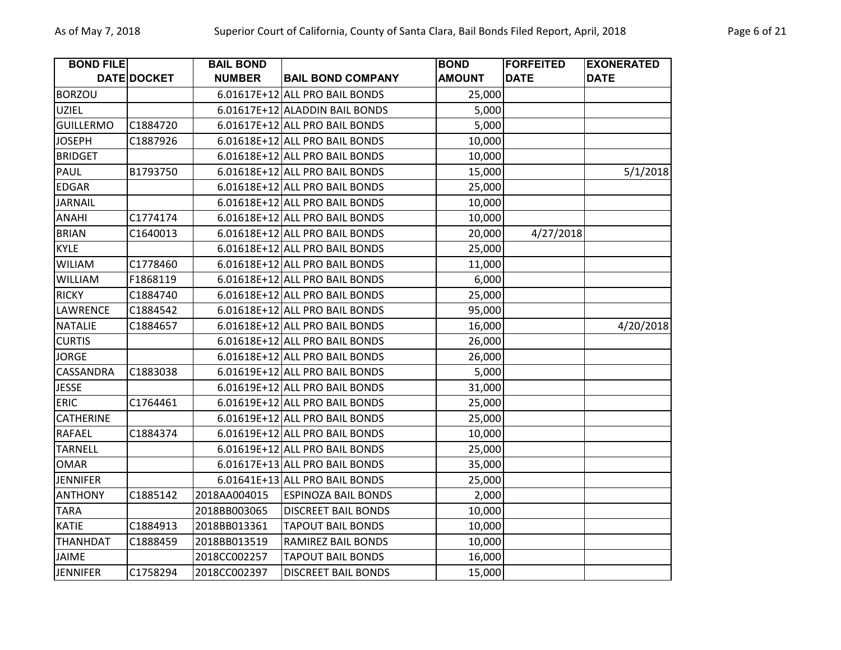| <b>BOND FILE</b> |             | <b>BAIL BOND</b> |                                | <b>BOND</b>   | <b>FORFEITED</b> | <b>EXONERATED</b> |
|------------------|-------------|------------------|--------------------------------|---------------|------------------|-------------------|
|                  | DATE DOCKET | <b>NUMBER</b>    | <b>BAIL BOND COMPANY</b>       | <b>AMOUNT</b> | <b>DATE</b>      | <b>DATE</b>       |
| <b>BORZOU</b>    |             |                  | 6.01617E+12 ALL PRO BAIL BONDS | 25,000        |                  |                   |
| <b>UZIEL</b>     |             |                  | 6.01617E+12 ALADDIN BAIL BONDS | 5,000         |                  |                   |
| <b>GUILLERMO</b> | C1884720    |                  | 6.01617E+12 ALL PRO BAIL BONDS | 5,000         |                  |                   |
| <b>JOSEPH</b>    | C1887926    |                  | 6.01618E+12 ALL PRO BAIL BONDS | 10,000        |                  |                   |
| <b>BRIDGET</b>   |             |                  | 6.01618E+12 ALL PRO BAIL BONDS | 10,000        |                  |                   |
| PAUL             | B1793750    |                  | 6.01618E+12 ALL PRO BAIL BONDS | 15,000        |                  | 5/1/2018          |
| <b>EDGAR</b>     |             |                  | 6.01618E+12 ALL PRO BAIL BONDS | 25,000        |                  |                   |
| <b>JARNAIL</b>   |             |                  | 6.01618E+12 ALL PRO BAIL BONDS | 10,000        |                  |                   |
| ANAHI            | C1774174    |                  | 6.01618E+12 ALL PRO BAIL BONDS | 10,000        |                  |                   |
| <b>BRIAN</b>     | C1640013    |                  | 6.01618E+12 ALL PRO BAIL BONDS | 20,000        | 4/27/2018        |                   |
| <b>KYLE</b>      |             |                  | 6.01618E+12 ALL PRO BAIL BONDS | 25,000        |                  |                   |
| <b>WILIAM</b>    | C1778460    |                  | 6.01618E+12 ALL PRO BAIL BONDS | 11,000        |                  |                   |
| WILLIAM          | F1868119    |                  | 6.01618E+12 ALL PRO BAIL BONDS | 6,000         |                  |                   |
| <b>RICKY</b>     | C1884740    |                  | 6.01618E+12 ALL PRO BAIL BONDS | 25,000        |                  |                   |
| LAWRENCE         | C1884542    |                  | 6.01618E+12 ALL PRO BAIL BONDS | 95,000        |                  |                   |
| <b>NATALIE</b>   | C1884657    |                  | 6.01618E+12 ALL PRO BAIL BONDS | 16,000        |                  | 4/20/2018         |
| <b>CURTIS</b>    |             |                  | 6.01618E+12 ALL PRO BAIL BONDS | 26,000        |                  |                   |
| <b>JORGE</b>     |             |                  | 6.01618E+12 ALL PRO BAIL BONDS | 26,000        |                  |                   |
| CASSANDRA        | C1883038    |                  | 6.01619E+12 ALL PRO BAIL BONDS | 5,000         |                  |                   |
| <b>JESSE</b>     |             |                  | 6.01619E+12 ALL PRO BAIL BONDS | 31,000        |                  |                   |
| <b>ERIC</b>      | C1764461    |                  | 6.01619E+12 ALL PRO BAIL BONDS | 25,000        |                  |                   |
| <b>CATHERINE</b> |             |                  | 6.01619E+12 ALL PRO BAIL BONDS | 25,000        |                  |                   |
| RAFAEL           | C1884374    |                  | 6.01619E+12 ALL PRO BAIL BONDS | 10,000        |                  |                   |
| <b>TARNELL</b>   |             |                  | 6.01619E+12 ALL PRO BAIL BONDS | 25,000        |                  |                   |
| <b>OMAR</b>      |             |                  | 6.01617E+13 ALL PRO BAIL BONDS | 35,000        |                  |                   |
| <b>JENNIFER</b>  |             |                  | 6.01641E+13 ALL PRO BAIL BONDS | 25,000        |                  |                   |
| <b>ANTHONY</b>   | C1885142    | 2018AA004015     | <b>ESPINOZA BAIL BONDS</b>     | 2,000         |                  |                   |
| <b>TARA</b>      |             | 2018BB003065     | <b>DISCREET BAIL BONDS</b>     | 10,000        |                  |                   |
| <b>KATIE</b>     | C1884913    | 2018BB013361     | <b>TAPOUT BAIL BONDS</b>       | 10,000        |                  |                   |
| <b>THANHDAT</b>  | C1888459    | 2018BB013519     | <b>RAMIREZ BAIL BONDS</b>      | 10,000        |                  |                   |
| JAIME            |             | 2018CC002257     | <b>TAPOUT BAIL BONDS</b>       | 16,000        |                  |                   |
| <b>JENNIFER</b>  | C1758294    | 2018CC002397     | <b>DISCREET BAIL BONDS</b>     | 15,000        |                  |                   |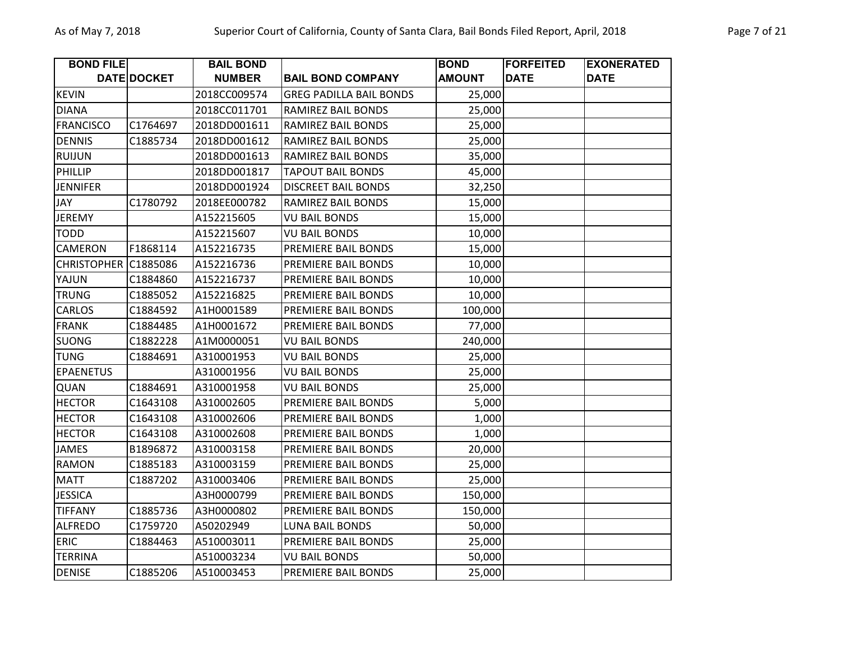| <b>BOND FILE</b>   |             | <b>BAIL BOND</b> |                                | <b>BOND</b>   | <b>FORFEITED</b> | <b>EXONERATED</b> |
|--------------------|-------------|------------------|--------------------------------|---------------|------------------|-------------------|
|                    | DATE DOCKET | <b>NUMBER</b>    | <b>BAIL BOND COMPANY</b>       | <b>AMOUNT</b> | <b>DATE</b>      | <b>DATE</b>       |
| <b>KEVIN</b>       |             | 2018CC009574     | <b>GREG PADILLA BAIL BONDS</b> | 25,000        |                  |                   |
| <b>DIANA</b>       |             | 2018CC011701     | RAMIREZ BAIL BONDS             | 25,000        |                  |                   |
| <b>FRANCISCO</b>   | C1764697    | 2018DD001611     | RAMIREZ BAIL BONDS             | 25,000        |                  |                   |
| <b>DENNIS</b>      | C1885734    | 2018DD001612     | RAMIREZ BAIL BONDS             | 25,000        |                  |                   |
| <b>RUIJUN</b>      |             | 2018DD001613     | RAMIREZ BAIL BONDS             | 35,000        |                  |                   |
| PHILLIP            |             | 2018DD001817     | <b>TAPOUT BAIL BONDS</b>       | 45,000        |                  |                   |
| <b>JENNIFER</b>    |             | 2018DD001924     | <b>DISCREET BAIL BONDS</b>     | 32,250        |                  |                   |
| JAY                | C1780792    | 2018EE000782     | RAMIREZ BAIL BONDS             | 15,000        |                  |                   |
| <b>JEREMY</b>      |             | A152215605       | <b>VU BAIL BONDS</b>           | 15,000        |                  |                   |
| <b>TODD</b>        |             | A152215607       | <b>VU BAIL BONDS</b>           | 10,000        |                  |                   |
| <b>CAMERON</b>     | F1868114    | A152216735       | PREMIERE BAIL BONDS            | 15,000        |                  |                   |
| <b>CHRISTOPHER</b> | C1885086    | A152216736       | PREMIERE BAIL BONDS            | 10,000        |                  |                   |
| YAJUN              | C1884860    | A152216737       | PREMIERE BAIL BONDS            | 10,000        |                  |                   |
| <b>TRUNG</b>       | C1885052    | A152216825       | PREMIERE BAIL BONDS            | 10,000        |                  |                   |
| CARLOS             | C1884592    | A1H0001589       | PREMIERE BAIL BONDS            | 100,000       |                  |                   |
| <b>FRANK</b>       | C1884485    | A1H0001672       | PREMIERE BAIL BONDS            | 77,000        |                  |                   |
| <b>SUONG</b>       | C1882228    | A1M0000051       | <b>VU BAIL BONDS</b>           | 240,000       |                  |                   |
| <b>TUNG</b>        | C1884691    | A310001953       | <b>VU BAIL BONDS</b>           | 25,000        |                  |                   |
| <b>EPAENETUS</b>   |             | A310001956       | <b>VU BAIL BONDS</b>           | 25,000        |                  |                   |
| QUAN               | C1884691    | A310001958       | <b>VU BAIL BONDS</b>           | 25,000        |                  |                   |
| <b>HECTOR</b>      | C1643108    | A310002605       | PREMIERE BAIL BONDS            | 5,000         |                  |                   |
| <b>HECTOR</b>      | C1643108    | A310002606       | PREMIERE BAIL BONDS            | 1,000         |                  |                   |
| <b>HECTOR</b>      | C1643108    | A310002608       | PREMIERE BAIL BONDS            | 1,000         |                  |                   |
| <b>JAMES</b>       | B1896872    | A310003158       | PREMIERE BAIL BONDS            | 20,000        |                  |                   |
| <b>RAMON</b>       | C1885183    | A310003159       | PREMIERE BAIL BONDS            | 25,000        |                  |                   |
| <b>MATT</b>        | C1887202    | A310003406       | PREMIERE BAIL BONDS            | 25,000        |                  |                   |
| <b>JESSICA</b>     |             | A3H0000799       | PREMIERE BAIL BONDS            | 150,000       |                  |                   |
| <b>TIFFANY</b>     | C1885736    | A3H0000802       | PREMIERE BAIL BONDS            | 150,000       |                  |                   |
| <b>ALFREDO</b>     | C1759720    | A50202949        | <b>LUNA BAIL BONDS</b>         | 50,000        |                  |                   |
| <b>ERIC</b>        | C1884463    | A510003011       | PREMIERE BAIL BONDS            | 25,000        |                  |                   |
| <b>TERRINA</b>     |             | A510003234       | <b>VU BAIL BONDS</b>           | 50,000        |                  |                   |
| <b>DENISE</b>      | C1885206    | A510003453       | PREMIERE BAIL BONDS            | 25,000        |                  |                   |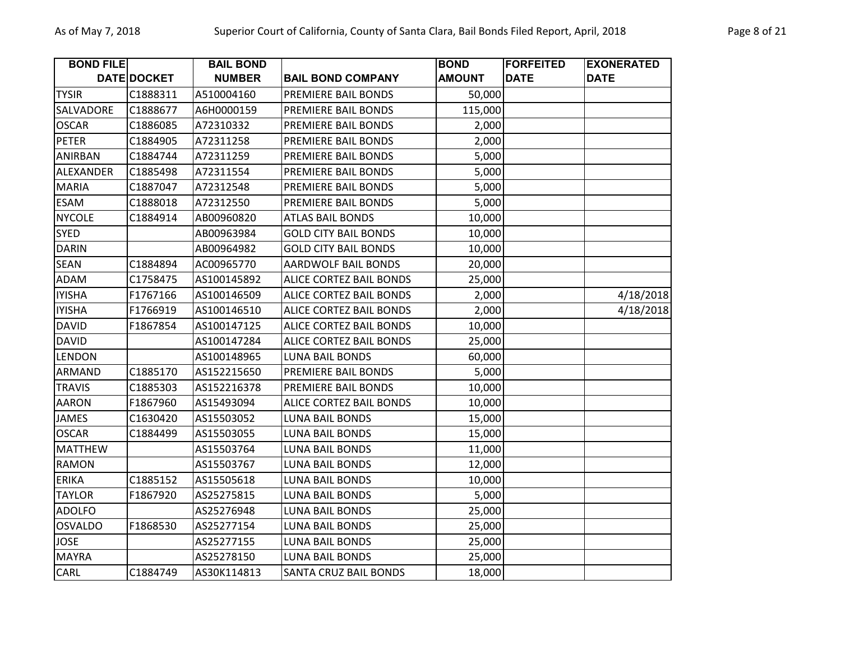| <b>BOND FILE</b> |             | <b>BAIL BOND</b> |                                | <b>BOND</b>   | <b>FORFEITED</b> | <b>EXONERATED</b> |
|------------------|-------------|------------------|--------------------------------|---------------|------------------|-------------------|
|                  | DATE DOCKET | <b>NUMBER</b>    | <b>BAIL BOND COMPANY</b>       | <b>AMOUNT</b> | <b>DATE</b>      | <b>DATE</b>       |
| <b>TYSIR</b>     | C1888311    | A510004160       | PREMIERE BAIL BONDS            | 50,000        |                  |                   |
| SALVADORE        | C1888677    | A6H0000159       | PREMIERE BAIL BONDS            | 115,000       |                  |                   |
| <b>OSCAR</b>     | C1886085    | A72310332        | PREMIERE BAIL BONDS            | 2,000         |                  |                   |
| <b>PETER</b>     | C1884905    | A72311258        | PREMIERE BAIL BONDS            | 2,000         |                  |                   |
| ANIRBAN          | C1884744    | A72311259        | PREMIERE BAIL BONDS            | 5,000         |                  |                   |
| ALEXANDER        | C1885498    | A72311554        | PREMIERE BAIL BONDS            | 5,000         |                  |                   |
| <b>MARIA</b>     | C1887047    | A72312548        | PREMIERE BAIL BONDS            | 5,000         |                  |                   |
| <b>ESAM</b>      | C1888018    | A72312550        | PREMIERE BAIL BONDS            | 5,000         |                  |                   |
| <b>NYCOLE</b>    | C1884914    | AB00960820       | <b>ATLAS BAIL BONDS</b>        | 10,000        |                  |                   |
| <b>SYED</b>      |             | AB00963984       | <b>GOLD CITY BAIL BONDS</b>    | 10,000        |                  |                   |
| <b>DARIN</b>     |             | AB00964982       | <b>GOLD CITY BAIL BONDS</b>    | 10,000        |                  |                   |
| <b>SEAN</b>      | C1884894    | AC00965770       | <b>AARDWOLF BAIL BONDS</b>     | 20,000        |                  |                   |
| <b>ADAM</b>      | C1758475    | AS100145892      | ALICE CORTEZ BAIL BONDS        | 25,000        |                  |                   |
| <b>IYISHA</b>    | F1767166    | AS100146509      | ALICE CORTEZ BAIL BONDS        | 2,000         |                  | 4/18/2018         |
| <b>IYISHA</b>    | F1766919    | AS100146510      | <b>ALICE CORTEZ BAIL BONDS</b> | 2,000         |                  | 4/18/2018         |
| <b>DAVID</b>     | F1867854    | AS100147125      | ALICE CORTEZ BAIL BONDS        | 10,000        |                  |                   |
| <b>DAVID</b>     |             | AS100147284      | <b>ALICE CORTEZ BAIL BONDS</b> | 25,000        |                  |                   |
| LENDON           |             | AS100148965      | <b>LUNA BAIL BONDS</b>         | 60,000        |                  |                   |
| ARMAND           | C1885170    | AS152215650      | PREMIERE BAIL BONDS            | 5,000         |                  |                   |
| <b>TRAVIS</b>    | C1885303    | AS152216378      | PREMIERE BAIL BONDS            | 10,000        |                  |                   |
| <b>AARON</b>     | F1867960    | AS15493094       | <b>ALICE CORTEZ BAIL BONDS</b> | 10,000        |                  |                   |
| <b>JAMES</b>     | C1630420    | AS15503052       | <b>LUNA BAIL BONDS</b>         | 15,000        |                  |                   |
| <b>OSCAR</b>     | C1884499    | AS15503055       | <b>LUNA BAIL BONDS</b>         | 15,000        |                  |                   |
| <b>MATTHEW</b>   |             | AS15503764       | <b>LUNA BAIL BONDS</b>         | 11,000        |                  |                   |
| <b>RAMON</b>     |             | AS15503767       | <b>LUNA BAIL BONDS</b>         | 12,000        |                  |                   |
| <b>ERIKA</b>     | C1885152    | AS15505618       | <b>LUNA BAIL BONDS</b>         | 10,000        |                  |                   |
| <b>TAYLOR</b>    | F1867920    | AS25275815       | <b>LUNA BAIL BONDS</b>         | 5,000         |                  |                   |
| <b>ADOLFO</b>    |             | AS25276948       | <b>LUNA BAIL BONDS</b>         | 25,000        |                  |                   |
| <b>OSVALDO</b>   | F1868530    | AS25277154       | <b>LUNA BAIL BONDS</b>         | 25,000        |                  |                   |
| <b>JOSE</b>      |             | AS25277155       | <b>LUNA BAIL BONDS</b>         | 25,000        |                  |                   |
| <b>MAYRA</b>     |             | AS25278150       | <b>LUNA BAIL BONDS</b>         | 25,000        |                  |                   |
| CARL             | C1884749    | AS30K114813      | <b>SANTA CRUZ BAIL BONDS</b>   | 18,000        |                  |                   |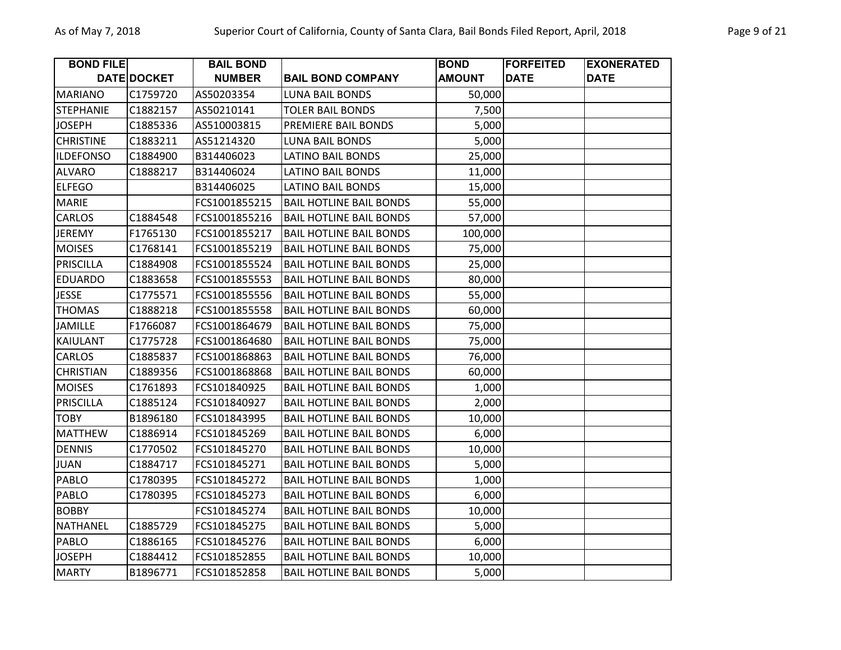| <b>BOND FILE</b> |             | <b>BAIL BOND</b> |                                | <b>BOND</b>   | <b>FORFEITED</b> | <b>EXONERATED</b> |
|------------------|-------------|------------------|--------------------------------|---------------|------------------|-------------------|
|                  | DATE DOCKET | <b>NUMBER</b>    | <b>BAIL BOND COMPANY</b>       | <b>AMOUNT</b> | <b>DATE</b>      | <b>DATE</b>       |
| <b>MARIANO</b>   | C1759720    | AS50203354       | <b>LUNA BAIL BONDS</b>         | 50,000        |                  |                   |
| <b>STEPHANIE</b> | C1882157    | AS50210141       | <b>TOLER BAIL BONDS</b>        | 7,500         |                  |                   |
| <b>JOSEPH</b>    | C1885336    | AS510003815      | PREMIERE BAIL BONDS            | 5,000         |                  |                   |
| <b>CHRISTINE</b> | C1883211    | AS51214320       | <b>LUNA BAIL BONDS</b>         | 5,000         |                  |                   |
| <b>ILDEFONSO</b> | C1884900    | B314406023       | <b>LATINO BAIL BONDS</b>       | 25,000        |                  |                   |
| <b>ALVARO</b>    | C1888217    | B314406024       | <b>LATINO BAIL BONDS</b>       | 11,000        |                  |                   |
| <b>ELFEGO</b>    |             | B314406025       | <b>LATINO BAIL BONDS</b>       | 15,000        |                  |                   |
| <b>MARIE</b>     |             | FCS1001855215    | <b>BAIL HOTLINE BAIL BONDS</b> | 55,000        |                  |                   |
| CARLOS           | C1884548    | FCS1001855216    | <b>BAIL HOTLINE BAIL BONDS</b> | 57,000        |                  |                   |
| <b>JEREMY</b>    | F1765130    | FCS1001855217    | <b>BAIL HOTLINE BAIL BONDS</b> | 100,000       |                  |                   |
| <b>MOISES</b>    | C1768141    | FCS1001855219    | <b>BAIL HOTLINE BAIL BONDS</b> | 75,000        |                  |                   |
| <b>PRISCILLA</b> | C1884908    | FCS1001855524    | <b>BAIL HOTLINE BAIL BONDS</b> | 25,000        |                  |                   |
| <b>EDUARDO</b>   | C1883658    | FCS1001855553    | <b>BAIL HOTLINE BAIL BONDS</b> | 80,000        |                  |                   |
| <b>JESSE</b>     | C1775571    | FCS1001855556    | <b>BAIL HOTLINE BAIL BONDS</b> | 55,000        |                  |                   |
| <b>THOMAS</b>    | C1888218    | FCS1001855558    | <b>BAIL HOTLINE BAIL BONDS</b> | 60,000        |                  |                   |
| <b>JAMILLE</b>   | F1766087    | FCS1001864679    | <b>BAIL HOTLINE BAIL BONDS</b> | 75,000        |                  |                   |
| <b>KAIULANT</b>  | C1775728    | FCS1001864680    | <b>BAIL HOTLINE BAIL BONDS</b> | 75,000        |                  |                   |
| CARLOS           | C1885837    | FCS1001868863    | <b>BAIL HOTLINE BAIL BONDS</b> | 76,000        |                  |                   |
| <b>CHRISTIAN</b> | C1889356    | FCS1001868868    | <b>BAIL HOTLINE BAIL BONDS</b> | 60,000        |                  |                   |
| <b>MOISES</b>    | C1761893    | FCS101840925     | <b>BAIL HOTLINE BAIL BONDS</b> | 1,000         |                  |                   |
| PRISCILLA        | C1885124    | FCS101840927     | <b>BAIL HOTLINE BAIL BONDS</b> | 2,000         |                  |                   |
| <b>TOBY</b>      | B1896180    | FCS101843995     | <b>BAIL HOTLINE BAIL BONDS</b> | 10,000        |                  |                   |
| <b>MATTHEW</b>   | C1886914    | FCS101845269     | <b>BAIL HOTLINE BAIL BONDS</b> | 6,000         |                  |                   |
| <b>DENNIS</b>    | C1770502    | FCS101845270     | <b>BAIL HOTLINE BAIL BONDS</b> | 10,000        |                  |                   |
| <b>JUAN</b>      | C1884717    | FCS101845271     | <b>BAIL HOTLINE BAIL BONDS</b> | 5,000         |                  |                   |
| PABLO            | C1780395    | FCS101845272     | <b>BAIL HOTLINE BAIL BONDS</b> | 1,000         |                  |                   |
| PABLO            | C1780395    | FCS101845273     | <b>BAIL HOTLINE BAIL BONDS</b> | 6,000         |                  |                   |
| <b>BOBBY</b>     |             | FCS101845274     | <b>BAIL HOTLINE BAIL BONDS</b> | 10,000        |                  |                   |
| <b>NATHANEL</b>  | C1885729    | FCS101845275     | <b>BAIL HOTLINE BAIL BONDS</b> | 5,000         |                  |                   |
| PABLO            | C1886165    | FCS101845276     | <b>BAIL HOTLINE BAIL BONDS</b> | 6,000         |                  |                   |
| <b>JOSEPH</b>    | C1884412    | FCS101852855     | <b>BAIL HOTLINE BAIL BONDS</b> | 10,000        |                  |                   |
| <b>MARTY</b>     | B1896771    | FCS101852858     | <b>BAIL HOTLINE BAIL BONDS</b> | 5,000         |                  |                   |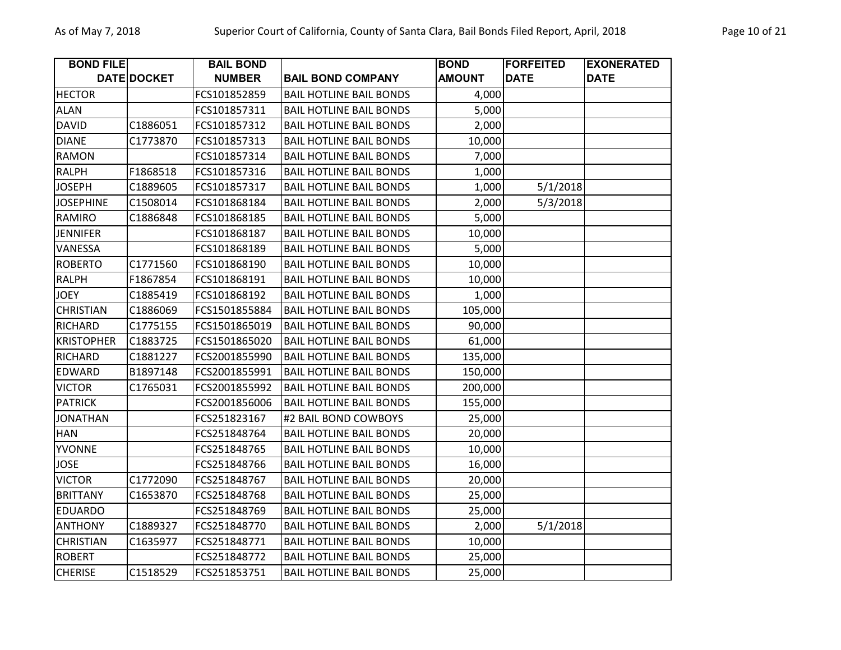| <b>BOND FILE</b>  |             | <b>BAIL BOND</b> |                                | <b>BOND</b>   | <b>FORFEITED</b> | <b>EXONERATED</b> |
|-------------------|-------------|------------------|--------------------------------|---------------|------------------|-------------------|
|                   | DATE DOCKET | <b>NUMBER</b>    | <b>BAIL BOND COMPANY</b>       | <b>AMOUNT</b> | <b>DATE</b>      | <b>DATE</b>       |
| <b>HECTOR</b>     |             | FCS101852859     | <b>BAIL HOTLINE BAIL BONDS</b> | 4,000         |                  |                   |
| <b>ALAN</b>       |             | FCS101857311     | <b>BAIL HOTLINE BAIL BONDS</b> | 5,000         |                  |                   |
| <b>DAVID</b>      | C1886051    | FCS101857312     | <b>BAIL HOTLINE BAIL BONDS</b> | 2,000         |                  |                   |
| <b>DIANE</b>      | C1773870    | FCS101857313     | <b>BAIL HOTLINE BAIL BONDS</b> | 10,000        |                  |                   |
| <b>RAMON</b>      |             | FCS101857314     | <b>BAIL HOTLINE BAIL BONDS</b> | 7,000         |                  |                   |
| <b>RALPH</b>      | F1868518    | FCS101857316     | <b>BAIL HOTLINE BAIL BONDS</b> | 1,000         |                  |                   |
| <b>JOSEPH</b>     | C1889605    | FCS101857317     | <b>BAIL HOTLINE BAIL BONDS</b> | 1,000         | 5/1/2018         |                   |
| <b>JOSEPHINE</b>  | C1508014    | FCS101868184     | <b>BAIL HOTLINE BAIL BONDS</b> | 2,000         | 5/3/2018         |                   |
| RAMIRO            | C1886848    | FCS101868185     | <b>BAIL HOTLINE BAIL BONDS</b> | 5,000         |                  |                   |
| <b>JENNIFER</b>   |             | FCS101868187     | <b>BAIL HOTLINE BAIL BONDS</b> | 10,000        |                  |                   |
| VANESSA           |             | FCS101868189     | <b>BAIL HOTLINE BAIL BONDS</b> | 5,000         |                  |                   |
| <b>ROBERTO</b>    | C1771560    | FCS101868190     | <b>BAIL HOTLINE BAIL BONDS</b> | 10,000        |                  |                   |
| <b>RALPH</b>      | F1867854    | FCS101868191     | <b>BAIL HOTLINE BAIL BONDS</b> | 10,000        |                  |                   |
| <b>JOEY</b>       | C1885419    | FCS101868192     | <b>BAIL HOTLINE BAIL BONDS</b> | 1,000         |                  |                   |
| <b>CHRISTIAN</b>  | C1886069    | FCS1501855884    | <b>BAIL HOTLINE BAIL BONDS</b> | 105,000       |                  |                   |
| <b>RICHARD</b>    | C1775155    | FCS1501865019    | <b>BAIL HOTLINE BAIL BONDS</b> | 90,000        |                  |                   |
| <b>KRISTOPHER</b> | C1883725    | FCS1501865020    | <b>BAIL HOTLINE BAIL BONDS</b> | 61,000        |                  |                   |
| <b>RICHARD</b>    | C1881227    | FCS2001855990    | <b>BAIL HOTLINE BAIL BONDS</b> | 135,000       |                  |                   |
| <b>EDWARD</b>     | B1897148    | FCS2001855991    | <b>BAIL HOTLINE BAIL BONDS</b> | 150,000       |                  |                   |
| <b>VICTOR</b>     | C1765031    | FCS2001855992    | <b>BAIL HOTLINE BAIL BONDS</b> | 200,000       |                  |                   |
| <b>PATRICK</b>    |             | FCS2001856006    | <b>BAIL HOTLINE BAIL BONDS</b> | 155,000       |                  |                   |
| <b>JONATHAN</b>   |             | FCS251823167     | #2 BAIL BOND COWBOYS           | 25,000        |                  |                   |
| <b>HAN</b>        |             | FCS251848764     | <b>BAIL HOTLINE BAIL BONDS</b> | 20,000        |                  |                   |
| <b>YVONNE</b>     |             | FCS251848765     | <b>BAIL HOTLINE BAIL BONDS</b> | 10,000        |                  |                   |
| <b>JOSE</b>       |             | FCS251848766     | <b>BAIL HOTLINE BAIL BONDS</b> | 16,000        |                  |                   |
| <b>VICTOR</b>     | C1772090    | FCS251848767     | <b>BAIL HOTLINE BAIL BONDS</b> | 20,000        |                  |                   |
| <b>BRITTANY</b>   | C1653870    | FCS251848768     | <b>BAIL HOTLINE BAIL BONDS</b> | 25,000        |                  |                   |
| <b>EDUARDO</b>    |             | FCS251848769     | <b>BAIL HOTLINE BAIL BONDS</b> | 25,000        |                  |                   |
| <b>ANTHONY</b>    | C1889327    | FCS251848770     | <b>BAIL HOTLINE BAIL BONDS</b> | 2,000         | 5/1/2018         |                   |
| <b>CHRISTIAN</b>  | C1635977    | FCS251848771     | <b>BAIL HOTLINE BAIL BONDS</b> | 10,000        |                  |                   |
| <b>ROBERT</b>     |             | FCS251848772     | <b>BAIL HOTLINE BAIL BONDS</b> | 25,000        |                  |                   |
| <b>CHERISE</b>    | C1518529    | FCS251853751     | <b>BAIL HOTLINE BAIL BONDS</b> | 25,000        |                  |                   |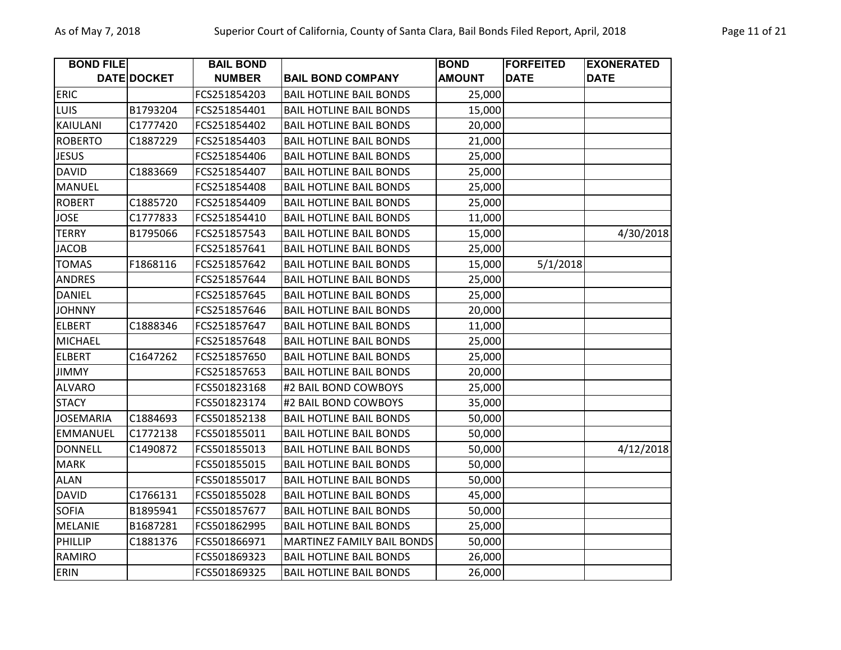| <b>BOND FILE</b> |             | <b>BAIL BOND</b> |                                   | <b>BOND</b>   | <b>FORFEITED</b> | <b>EXONERATED</b> |
|------------------|-------------|------------------|-----------------------------------|---------------|------------------|-------------------|
|                  | DATE DOCKET | <b>NUMBER</b>    | <b>BAIL BOND COMPANY</b>          | <b>AMOUNT</b> | <b>DATE</b>      | <b>DATE</b>       |
| <b>ERIC</b>      |             | FCS251854203     | <b>BAIL HOTLINE BAIL BONDS</b>    | 25,000        |                  |                   |
| <b>LUIS</b>      | B1793204    | FCS251854401     | <b>BAIL HOTLINE BAIL BONDS</b>    | 15,000        |                  |                   |
| KAIULANI         | C1777420    | FCS251854402     | <b>BAIL HOTLINE BAIL BONDS</b>    | 20,000        |                  |                   |
| <b>ROBERTO</b>   | C1887229    | FCS251854403     | <b>BAIL HOTLINE BAIL BONDS</b>    | 21,000        |                  |                   |
| <b>JESUS</b>     |             | FCS251854406     | <b>BAIL HOTLINE BAIL BONDS</b>    | 25,000        |                  |                   |
| <b>DAVID</b>     | C1883669    | FCS251854407     | <b>BAIL HOTLINE BAIL BONDS</b>    | 25,000        |                  |                   |
| <b>MANUEL</b>    |             | FCS251854408     | <b>BAIL HOTLINE BAIL BONDS</b>    | 25,000        |                  |                   |
| <b>ROBERT</b>    | C1885720    | FCS251854409     | <b>BAIL HOTLINE BAIL BONDS</b>    | 25,000        |                  |                   |
| <b>JOSE</b>      | C1777833    | FCS251854410     | <b>BAIL HOTLINE BAIL BONDS</b>    | 11,000        |                  |                   |
| <b>TERRY</b>     | B1795066    | FCS251857543     | <b>BAIL HOTLINE BAIL BONDS</b>    | 15,000        |                  | 4/30/2018         |
| <b>JACOB</b>     |             | FCS251857641     | <b>BAIL HOTLINE BAIL BONDS</b>    | 25,000        |                  |                   |
| <b>TOMAS</b>     | F1868116    | FCS251857642     | <b>BAIL HOTLINE BAIL BONDS</b>    | 15,000        | 5/1/2018         |                   |
| <b>ANDRES</b>    |             | FCS251857644     | <b>BAIL HOTLINE BAIL BONDS</b>    | 25,000        |                  |                   |
| <b>DANIEL</b>    |             | FCS251857645     | <b>BAIL HOTLINE BAIL BONDS</b>    | 25,000        |                  |                   |
| <b>JOHNNY</b>    |             | FCS251857646     | <b>BAIL HOTLINE BAIL BONDS</b>    | 20,000        |                  |                   |
| <b>ELBERT</b>    | C1888346    | FCS251857647     | <b>BAIL HOTLINE BAIL BONDS</b>    | 11,000        |                  |                   |
| <b>MICHAEL</b>   |             | FCS251857648     | <b>BAIL HOTLINE BAIL BONDS</b>    | 25,000        |                  |                   |
| <b>ELBERT</b>    | C1647262    | FCS251857650     | <b>BAIL HOTLINE BAIL BONDS</b>    | 25,000        |                  |                   |
| <b>JIMMY</b>     |             | FCS251857653     | <b>BAIL HOTLINE BAIL BONDS</b>    | 20,000        |                  |                   |
| <b>ALVARO</b>    |             | FCS501823168     | #2 BAIL BOND COWBOYS              | 25,000        |                  |                   |
| <b>STACY</b>     |             | FCS501823174     | #2 BAIL BOND COWBOYS              | 35,000        |                  |                   |
| <b>JOSEMARIA</b> | C1884693    | FCS501852138     | <b>BAIL HOTLINE BAIL BONDS</b>    | 50,000        |                  |                   |
| <b>EMMANUEL</b>  | C1772138    | FCS501855011     | <b>BAIL HOTLINE BAIL BONDS</b>    | 50,000        |                  |                   |
| <b>DONNELL</b>   | C1490872    | FCS501855013     | <b>BAIL HOTLINE BAIL BONDS</b>    | 50,000        |                  | 4/12/2018         |
| <b>MARK</b>      |             | FCS501855015     | <b>BAIL HOTLINE BAIL BONDS</b>    | 50,000        |                  |                   |
| <b>ALAN</b>      |             | FCS501855017     | <b>BAIL HOTLINE BAIL BONDS</b>    | 50,000        |                  |                   |
| <b>DAVID</b>     | C1766131    | FCS501855028     | <b>BAIL HOTLINE BAIL BONDS</b>    | 45,000        |                  |                   |
| <b>SOFIA</b>     | B1895941    | FCS501857677     | <b>BAIL HOTLINE BAIL BONDS</b>    | 50,000        |                  |                   |
| <b>MELANIE</b>   | B1687281    | FCS501862995     | <b>BAIL HOTLINE BAIL BONDS</b>    | 25,000        |                  |                   |
| PHILLIP          | C1881376    | FCS501866971     | <b>MARTINEZ FAMILY BAIL BONDS</b> | 50,000        |                  |                   |
| RAMIRO           |             | FCS501869323     | <b>BAIL HOTLINE BAIL BONDS</b>    | 26,000        |                  |                   |
| <b>ERIN</b>      |             | FCS501869325     | <b>BAIL HOTLINE BAIL BONDS</b>    | 26,000        |                  |                   |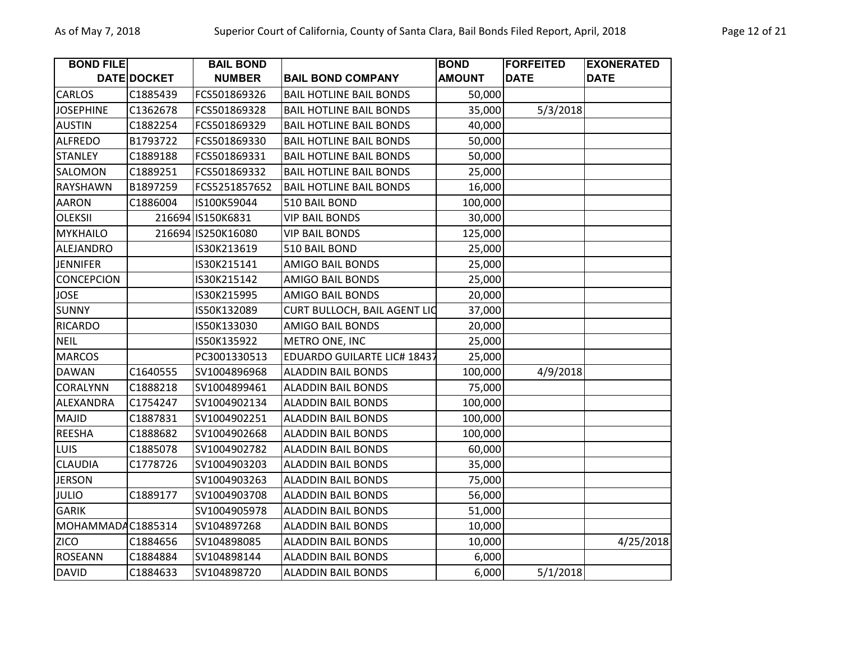| <b>BOND FILE</b>  |                    | <b>BAIL BOND</b>   |                                     | <b>BOND</b>   | <b>FORFEITED</b> | <b>EXONERATED</b> |
|-------------------|--------------------|--------------------|-------------------------------------|---------------|------------------|-------------------|
|                   | <b>DATE DOCKET</b> | <b>NUMBER</b>      | <b>BAIL BOND COMPANY</b>            | <b>AMOUNT</b> | <b>DATE</b>      | <b>DATE</b>       |
| <b>CARLOS</b>     | C1885439           | FCS501869326       | <b>BAIL HOTLINE BAIL BONDS</b>      | 50,000        |                  |                   |
| <b>JOSEPHINE</b>  | C1362678           | FCS501869328       | <b>BAIL HOTLINE BAIL BONDS</b>      | 35,000        | 5/3/2018         |                   |
| <b>AUSTIN</b>     | C1882254           | FCS501869329       | <b>BAIL HOTLINE BAIL BONDS</b>      | 40,000        |                  |                   |
| <b>ALFREDO</b>    | B1793722           | FCS501869330       | <b>BAIL HOTLINE BAIL BONDS</b>      | 50,000        |                  |                   |
| <b>STANLEY</b>    | C1889188           | FCS501869331       | <b>BAIL HOTLINE BAIL BONDS</b>      | 50,000        |                  |                   |
| SALOMON           | C1889251           | FCS501869332       | <b>BAIL HOTLINE BAIL BONDS</b>      | 25,000        |                  |                   |
| <b>RAYSHAWN</b>   | B1897259           | FCS5251857652      | <b>BAIL HOTLINE BAIL BONDS</b>      | 16,000        |                  |                   |
| AARON             | C1886004           | IS100K59044        | 510 BAIL BOND                       | 100,000       |                  |                   |
| <b>OLEKSII</b>    |                    | 216694 IS150K6831  | <b>VIP BAIL BONDS</b>               | 30,000        |                  |                   |
| <b>MYKHAILO</b>   |                    | 216694 IS250K16080 | <b>VIP BAIL BONDS</b>               | 125,000       |                  |                   |
| ALEJANDRO         |                    | IS30K213619        | 510 BAIL BOND                       | 25,000        |                  |                   |
| <b>JENNIFER</b>   |                    | IS30K215141        | <b>AMIGO BAIL BONDS</b>             | 25,000        |                  |                   |
| <b>CONCEPCION</b> |                    | IS30K215142        | <b>AMIGO BAIL BONDS</b>             | 25,000        |                  |                   |
| <b>JOSE</b>       |                    | IS30K215995        | <b>AMIGO BAIL BONDS</b>             | 20,000        |                  |                   |
| <b>SUNNY</b>      |                    | IS50K132089        | <b>CURT BULLOCH, BAIL AGENT LIC</b> | 37,000        |                  |                   |
| <b>RICARDO</b>    |                    | IS50K133030        | <b>AMIGO BAIL BONDS</b>             | 20,000        |                  |                   |
| <b>NEIL</b>       |                    | IS50K135922        | METRO ONE, INC                      | 25,000        |                  |                   |
| <b>MARCOS</b>     |                    | PC3001330513       | <b>EDUARDO GUILARTE LIC# 18437</b>  | 25,000        |                  |                   |
| <b>DAWAN</b>      | C1640555           | SV1004896968       | <b>ALADDIN BAIL BONDS</b>           | 100,000       | 4/9/2018         |                   |
| CORALYNN          | C1888218           | SV1004899461       | <b>ALADDIN BAIL BONDS</b>           | 75,000        |                  |                   |
| ALEXANDRA         | C1754247           | SV1004902134       | <b>ALADDIN BAIL BONDS</b>           | 100,000       |                  |                   |
| MAJID             | C1887831           | SV1004902251       | <b>ALADDIN BAIL BONDS</b>           | 100,000       |                  |                   |
| <b>REESHA</b>     | C1888682           | SV1004902668       | <b>ALADDIN BAIL BONDS</b>           | 100,000       |                  |                   |
| <b>LUIS</b>       | C1885078           | SV1004902782       | <b>ALADDIN BAIL BONDS</b>           | 60,000        |                  |                   |
| <b>CLAUDIA</b>    | C1778726           | SV1004903203       | <b>ALADDIN BAIL BONDS</b>           | 35,000        |                  |                   |
| <b>JERSON</b>     |                    | SV1004903263       | <b>ALADDIN BAIL BONDS</b>           | 75,000        |                  |                   |
| <b>JULIO</b>      | C1889177           | SV1004903708       | <b>ALADDIN BAIL BONDS</b>           | 56,000        |                  |                   |
| <b>GARIK</b>      |                    | SV1004905978       | <b>ALADDIN BAIL BONDS</b>           | 51,000        |                  |                   |
| MOHAMMADAC1885314 |                    | SV104897268        | <b>ALADDIN BAIL BONDS</b>           | 10,000        |                  |                   |
| <b>ZICO</b>       | C1884656           | SV104898085        | <b>ALADDIN BAIL BONDS</b>           | 10,000        |                  | 4/25/2018         |
| <b>ROSEANN</b>    | C1884884           | SV104898144        | <b>ALADDIN BAIL BONDS</b>           | 6,000         |                  |                   |
| <b>DAVID</b>      | C1884633           | SV104898720        | <b>ALADDIN BAIL BONDS</b>           | 6,000         | 5/1/2018         |                   |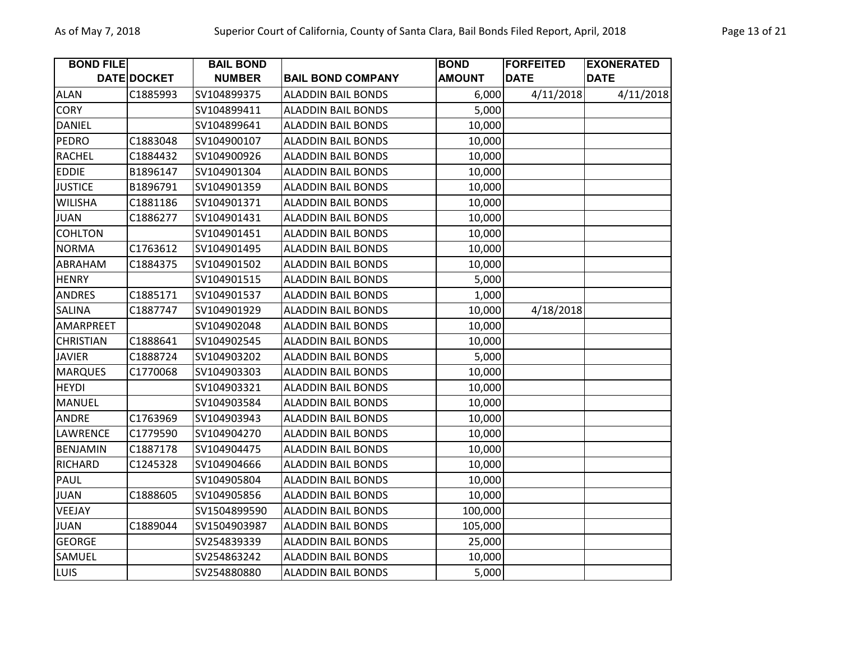| <b>BOND FILE</b> |             | <b>BAIL BOND</b> |                           | <b>BOND</b>   | <b>FORFEITED</b> | <b>EXONERATED</b> |
|------------------|-------------|------------------|---------------------------|---------------|------------------|-------------------|
|                  | DATE DOCKET | <b>NUMBER</b>    | <b>BAIL BOND COMPANY</b>  | <b>AMOUNT</b> | <b>DATE</b>      | <b>DATE</b>       |
| <b>ALAN</b>      | C1885993    | SV104899375      | <b>ALADDIN BAIL BONDS</b> | 6,000         | 4/11/2018        | 4/11/2018         |
| <b>CORY</b>      |             | SV104899411      | <b>ALADDIN BAIL BONDS</b> | 5,000         |                  |                   |
| <b>DANIEL</b>    |             | SV104899641      | <b>ALADDIN BAIL BONDS</b> | 10,000        |                  |                   |
| <b>PEDRO</b>     | C1883048    | SV104900107      | <b>ALADDIN BAIL BONDS</b> | 10,000        |                  |                   |
| <b>RACHEL</b>    | C1884432    | SV104900926      | <b>ALADDIN BAIL BONDS</b> | 10,000        |                  |                   |
| <b>EDDIE</b>     | B1896147    | SV104901304      | <b>ALADDIN BAIL BONDS</b> | 10,000        |                  |                   |
| <b>JUSTICE</b>   | B1896791    | SV104901359      | <b>ALADDIN BAIL BONDS</b> | 10,000        |                  |                   |
| <b>WILISHA</b>   | C1881186    | SV104901371      | <b>ALADDIN BAIL BONDS</b> | 10,000        |                  |                   |
| <b>JUAN</b>      | C1886277    | SV104901431      | <b>ALADDIN BAIL BONDS</b> | 10,000        |                  |                   |
| <b>COHLTON</b>   |             | SV104901451      | <b>ALADDIN BAIL BONDS</b> | 10,000        |                  |                   |
| <b>NORMA</b>     | C1763612    | SV104901495      | <b>ALADDIN BAIL BONDS</b> | 10,000        |                  |                   |
| ABRAHAM          | C1884375    | SV104901502      | <b>ALADDIN BAIL BONDS</b> | 10,000        |                  |                   |
| <b>HENRY</b>     |             | SV104901515      | <b>ALADDIN BAIL BONDS</b> | 5,000         |                  |                   |
| <b>ANDRES</b>    | C1885171    | SV104901537      | <b>ALADDIN BAIL BONDS</b> | 1,000         |                  |                   |
| SALINA           | C1887747    | SV104901929      | <b>ALADDIN BAIL BONDS</b> | 10,000        | 4/18/2018        |                   |
| AMARPREET        |             | SV104902048      | <b>ALADDIN BAIL BONDS</b> | 10,000        |                  |                   |
| <b>CHRISTIAN</b> | C1888641    | SV104902545      | <b>ALADDIN BAIL BONDS</b> | 10,000        |                  |                   |
| <b>JAVIER</b>    | C1888724    | SV104903202      | <b>ALADDIN BAIL BONDS</b> | 5,000         |                  |                   |
| <b>MARQUES</b>   | C1770068    | SV104903303      | <b>ALADDIN BAIL BONDS</b> | 10,000        |                  |                   |
| <b>HEYDI</b>     |             | SV104903321      | <b>ALADDIN BAIL BONDS</b> | 10,000        |                  |                   |
| <b>MANUEL</b>    |             | SV104903584      | <b>ALADDIN BAIL BONDS</b> | 10,000        |                  |                   |
| ANDRE            | C1763969    | SV104903943      | <b>ALADDIN BAIL BONDS</b> | 10,000        |                  |                   |
| <b>LAWRENCE</b>  | C1779590    | SV104904270      | <b>ALADDIN BAIL BONDS</b> | 10,000        |                  |                   |
| <b>BENJAMIN</b>  | C1887178    | SV104904475      | <b>ALADDIN BAIL BONDS</b> | 10,000        |                  |                   |
| <b>RICHARD</b>   | C1245328    | SV104904666      | <b>ALADDIN BAIL BONDS</b> | 10,000        |                  |                   |
| <b>PAUL</b>      |             | SV104905804      | <b>ALADDIN BAIL BONDS</b> | 10,000        |                  |                   |
| <b>JUAN</b>      | C1888605    | SV104905856      | <b>ALADDIN BAIL BONDS</b> | 10,000        |                  |                   |
| VEEJAY           |             | SV1504899590     | <b>ALADDIN BAIL BONDS</b> | 100,000       |                  |                   |
| <b>JUAN</b>      | C1889044    | SV1504903987     | <b>ALADDIN BAIL BONDS</b> | 105,000       |                  |                   |
| <b>GEORGE</b>    |             | SV254839339      | <b>ALADDIN BAIL BONDS</b> | 25,000        |                  |                   |
| SAMUEL           |             | SV254863242      | <b>ALADDIN BAIL BONDS</b> | 10,000        |                  |                   |
| <b>LUIS</b>      |             | SV254880880      | <b>ALADDIN BAIL BONDS</b> | 5,000         |                  |                   |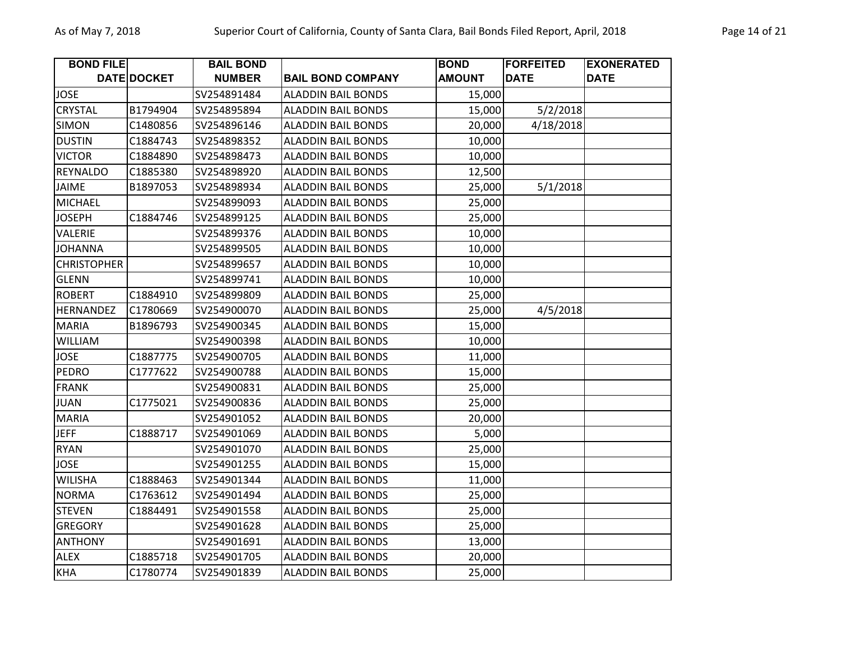| <b>BOND FILE</b>   |             | <b>BAIL BOND</b> |                           | <b>BOND</b>   | <b>FORFEITED</b> | <b>EXONERATED</b> |
|--------------------|-------------|------------------|---------------------------|---------------|------------------|-------------------|
|                    | DATE DOCKET | <b>NUMBER</b>    | <b>BAIL BOND COMPANY</b>  | <b>AMOUNT</b> | <b>DATE</b>      | <b>DATE</b>       |
| <b>JOSE</b>        |             | SV254891484      | <b>ALADDIN BAIL BONDS</b> | 15,000        |                  |                   |
| CRYSTAL            | B1794904    | SV254895894      | <b>ALADDIN BAIL BONDS</b> | 15,000        | 5/2/2018         |                   |
| <b>SIMON</b>       | C1480856    | SV254896146      | <b>ALADDIN BAIL BONDS</b> | 20,000        | 4/18/2018        |                   |
| <b>DUSTIN</b>      | C1884743    | SV254898352      | <b>ALADDIN BAIL BONDS</b> | 10,000        |                  |                   |
| <b>VICTOR</b>      | C1884890    | SV254898473      | <b>ALADDIN BAIL BONDS</b> | 10,000        |                  |                   |
| <b>REYNALDO</b>    | C1885380    | SV254898920      | <b>ALADDIN BAIL BONDS</b> | 12,500        |                  |                   |
| JAIME              | B1897053    | SV254898934      | <b>ALADDIN BAIL BONDS</b> | 25,000        | 5/1/2018         |                   |
| <b>MICHAEL</b>     |             | SV254899093      | <b>ALADDIN BAIL BONDS</b> | 25,000        |                  |                   |
| <b>JOSEPH</b>      | C1884746    | SV254899125      | <b>ALADDIN BAIL BONDS</b> | 25,000        |                  |                   |
| VALERIE            |             | SV254899376      | <b>ALADDIN BAIL BONDS</b> | 10,000        |                  |                   |
| <b>JOHANNA</b>     |             | SV254899505      | <b>ALADDIN BAIL BONDS</b> | 10,000        |                  |                   |
| <b>CHRISTOPHER</b> |             | SV254899657      | <b>ALADDIN BAIL BONDS</b> | 10,000        |                  |                   |
| <b>GLENN</b>       |             | SV254899741      | <b>ALADDIN BAIL BONDS</b> | 10,000        |                  |                   |
| <b>ROBERT</b>      | C1884910    | SV254899809      | <b>ALADDIN BAIL BONDS</b> | 25,000        |                  |                   |
| <b>HERNANDEZ</b>   | C1780669    | SV254900070      | <b>ALADDIN BAIL BONDS</b> | 25,000        | 4/5/2018         |                   |
| <b>MARIA</b>       | B1896793    | SV254900345      | <b>ALADDIN BAIL BONDS</b> | 15,000        |                  |                   |
| <b>WILLIAM</b>     |             | SV254900398      | <b>ALADDIN BAIL BONDS</b> | 10,000        |                  |                   |
| <b>JOSE</b>        | C1887775    | SV254900705      | <b>ALADDIN BAIL BONDS</b> | 11,000        |                  |                   |
| <b>PEDRO</b>       | C1777622    | SV254900788      | <b>ALADDIN BAIL BONDS</b> | 15,000        |                  |                   |
| <b>FRANK</b>       |             | SV254900831      | <b>ALADDIN BAIL BONDS</b> | 25,000        |                  |                   |
| <b>JUAN</b>        | C1775021    | SV254900836      | <b>ALADDIN BAIL BONDS</b> | 25,000        |                  |                   |
| <b>MARIA</b>       |             | SV254901052      | <b>ALADDIN BAIL BONDS</b> | 20,000        |                  |                   |
| <b>JEFF</b>        | C1888717    | SV254901069      | <b>ALADDIN BAIL BONDS</b> | 5,000         |                  |                   |
| <b>RYAN</b>        |             | SV254901070      | <b>ALADDIN BAIL BONDS</b> | 25,000        |                  |                   |
| <b>JOSE</b>        |             | SV254901255      | <b>ALADDIN BAIL BONDS</b> | 15,000        |                  |                   |
| <b>WILISHA</b>     | C1888463    | SV254901344      | <b>ALADDIN BAIL BONDS</b> | 11,000        |                  |                   |
| <b>NORMA</b>       | C1763612    | SV254901494      | <b>ALADDIN BAIL BONDS</b> | 25,000        |                  |                   |
| <b>STEVEN</b>      | C1884491    | SV254901558      | <b>ALADDIN BAIL BONDS</b> | 25,000        |                  |                   |
| <b>GREGORY</b>     |             | SV254901628      | <b>ALADDIN BAIL BONDS</b> | 25,000        |                  |                   |
| <b>ANTHONY</b>     |             | SV254901691      | <b>ALADDIN BAIL BONDS</b> | 13,000        |                  |                   |
| <b>ALEX</b>        | C1885718    | SV254901705      | <b>ALADDIN BAIL BONDS</b> | 20,000        |                  |                   |
| <b>KHA</b>         | C1780774    | SV254901839      | <b>ALADDIN BAIL BONDS</b> | 25,000        |                  |                   |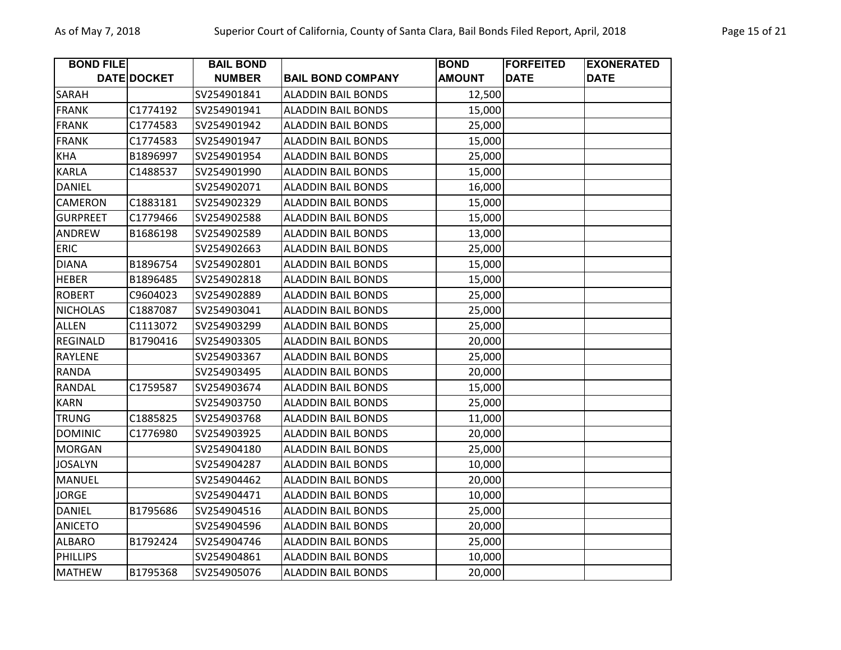| <b>BOND FILE</b> |             | <b>BAIL BOND</b> |                           | <b>BOND</b>   | <b>FORFEITED</b> | <b>EXONERATED</b> |
|------------------|-------------|------------------|---------------------------|---------------|------------------|-------------------|
|                  | DATE DOCKET | <b>NUMBER</b>    | <b>BAIL BOND COMPANY</b>  | <b>AMOUNT</b> | <b>DATE</b>      | <b>DATE</b>       |
| SARAH            |             | SV254901841      | <b>ALADDIN BAIL BONDS</b> | 12,500        |                  |                   |
| <b>FRANK</b>     | C1774192    | SV254901941      | <b>ALADDIN BAIL BONDS</b> | 15,000        |                  |                   |
| <b>FRANK</b>     | C1774583    | SV254901942      | <b>ALADDIN BAIL BONDS</b> | 25,000        |                  |                   |
| <b>FRANK</b>     | C1774583    | SV254901947      | <b>ALADDIN BAIL BONDS</b> | 15,000        |                  |                   |
| <b>KHA</b>       | B1896997    | SV254901954      | <b>ALADDIN BAIL BONDS</b> | 25,000        |                  |                   |
| <b>KARLA</b>     | C1488537    | SV254901990      | <b>ALADDIN BAIL BONDS</b> | 15,000        |                  |                   |
| <b>DANIEL</b>    |             | SV254902071      | <b>ALADDIN BAIL BONDS</b> | 16,000        |                  |                   |
| <b>CAMERON</b>   | C1883181    | SV254902329      | <b>ALADDIN BAIL BONDS</b> | 15,000        |                  |                   |
| <b>GURPREET</b>  | C1779466    | SV254902588      | <b>ALADDIN BAIL BONDS</b> | 15,000        |                  |                   |
| ANDREW           | B1686198    | SV254902589      | <b>ALADDIN BAIL BONDS</b> | 13,000        |                  |                   |
| <b>ERIC</b>      |             | SV254902663      | <b>ALADDIN BAIL BONDS</b> | 25,000        |                  |                   |
| <b>DIANA</b>     | B1896754    | SV254902801      | <b>ALADDIN BAIL BONDS</b> | 15,000        |                  |                   |
| <b>HEBER</b>     | B1896485    | SV254902818      | <b>ALADDIN BAIL BONDS</b> | 15,000        |                  |                   |
| <b>ROBERT</b>    | C9604023    | SV254902889      | <b>ALADDIN BAIL BONDS</b> | 25,000        |                  |                   |
| <b>NICHOLAS</b>  | C1887087    | SV254903041      | <b>ALADDIN BAIL BONDS</b> | 25,000        |                  |                   |
| <b>ALLEN</b>     | C1113072    | SV254903299      | <b>ALADDIN BAIL BONDS</b> | 25,000        |                  |                   |
| <b>REGINALD</b>  | B1790416    | SV254903305      | <b>ALADDIN BAIL BONDS</b> | 20,000        |                  |                   |
| <b>RAYLENE</b>   |             | SV254903367      | <b>ALADDIN BAIL BONDS</b> | 25,000        |                  |                   |
| RANDA            |             | SV254903495      | <b>ALADDIN BAIL BONDS</b> | 20,000        |                  |                   |
| <b>RANDAL</b>    | C1759587    | SV254903674      | <b>ALADDIN BAIL BONDS</b> | 15,000        |                  |                   |
| <b>KARN</b>      |             | SV254903750      | <b>ALADDIN BAIL BONDS</b> | 25,000        |                  |                   |
| <b>TRUNG</b>     | C1885825    | SV254903768      | <b>ALADDIN BAIL BONDS</b> | 11,000        |                  |                   |
| <b>DOMINIC</b>   | C1776980    | SV254903925      | <b>ALADDIN BAIL BONDS</b> | 20,000        |                  |                   |
| <b>MORGAN</b>    |             | SV254904180      | <b>ALADDIN BAIL BONDS</b> | 25,000        |                  |                   |
| <b>JOSALYN</b>   |             | SV254904287      | <b>ALADDIN BAIL BONDS</b> | 10,000        |                  |                   |
| <b>MANUEL</b>    |             | SV254904462      | <b>ALADDIN BAIL BONDS</b> | 20,000        |                  |                   |
| <b>JORGE</b>     |             | SV254904471      | <b>ALADDIN BAIL BONDS</b> | 10,000        |                  |                   |
| <b>DANIEL</b>    | B1795686    | SV254904516      | <b>ALADDIN BAIL BONDS</b> | 25,000        |                  |                   |
| <b>ANICETO</b>   |             | SV254904596      | <b>ALADDIN BAIL BONDS</b> | 20,000        |                  |                   |
| <b>ALBARO</b>    | B1792424    | SV254904746      | <b>ALADDIN BAIL BONDS</b> | 25,000        |                  |                   |
| <b>PHILLIPS</b>  |             | SV254904861      | <b>ALADDIN BAIL BONDS</b> | 10,000        |                  |                   |
| <b>MATHEW</b>    | B1795368    | SV254905076      | <b>ALADDIN BAIL BONDS</b> | 20,000        |                  |                   |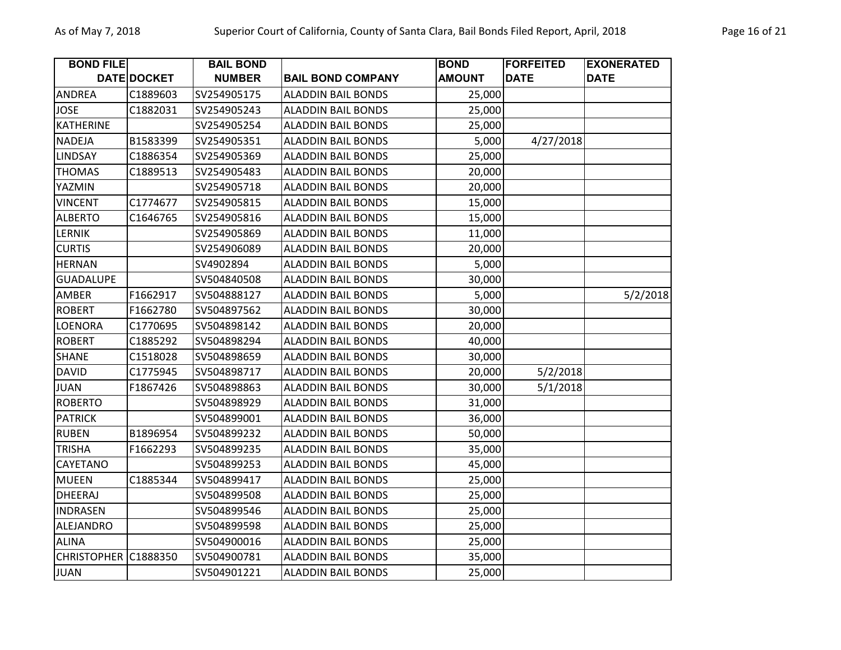| <b>BOND FILE</b>     |                    | <b>BAIL BOND</b> |                           | <b>BOND</b>   | <b>FORFEITED</b> | <b>EXONERATED</b> |
|----------------------|--------------------|------------------|---------------------------|---------------|------------------|-------------------|
|                      | <b>DATE DOCKET</b> | <b>NUMBER</b>    | <b>BAIL BOND COMPANY</b>  | <b>AMOUNT</b> | <b>DATE</b>      | <b>DATE</b>       |
| <b>ANDREA</b>        | C1889603           | SV254905175      | <b>ALADDIN BAIL BONDS</b> | 25,000        |                  |                   |
| <b>JOSE</b>          | C1882031           | SV254905243      | <b>ALADDIN BAIL BONDS</b> | 25,000        |                  |                   |
| <b>KATHERINE</b>     |                    | SV254905254      | <b>ALADDIN BAIL BONDS</b> | 25,000        |                  |                   |
| NADEJA               | B1583399           | SV254905351      | <b>ALADDIN BAIL BONDS</b> | 5,000         | 4/27/2018        |                   |
| LINDSAY              | C1886354           | SV254905369      | <b>ALADDIN BAIL BONDS</b> | 25,000        |                  |                   |
| <b>THOMAS</b>        | C1889513           | SV254905483      | <b>ALADDIN BAIL BONDS</b> | 20,000        |                  |                   |
| YAZMIN               |                    | SV254905718      | <b>ALADDIN BAIL BONDS</b> | 20,000        |                  |                   |
| <b>VINCENT</b>       | C1774677           | SV254905815      | <b>ALADDIN BAIL BONDS</b> | 15,000        |                  |                   |
| <b>ALBERTO</b>       | C1646765           | SV254905816      | <b>ALADDIN BAIL BONDS</b> | 15,000        |                  |                   |
| <b>LERNIK</b>        |                    | SV254905869      | <b>ALADDIN BAIL BONDS</b> | 11,000        |                  |                   |
| <b>CURTIS</b>        |                    | SV254906089      | <b>ALADDIN BAIL BONDS</b> | 20,000        |                  |                   |
| <b>HERNAN</b>        |                    | SV4902894        | <b>ALADDIN BAIL BONDS</b> | 5,000         |                  |                   |
| <b>GUADALUPE</b>     |                    | SV504840508      | <b>ALADDIN BAIL BONDS</b> | 30,000        |                  |                   |
| AMBER                | F1662917           | SV504888127      | <b>ALADDIN BAIL BONDS</b> | 5,000         |                  | 5/2/2018          |
| <b>ROBERT</b>        | F1662780           | SV504897562      | <b>ALADDIN BAIL BONDS</b> | 30,000        |                  |                   |
| <b>LOENORA</b>       | C1770695           | SV504898142      | <b>ALADDIN BAIL BONDS</b> | 20,000        |                  |                   |
| <b>ROBERT</b>        | C1885292           | SV504898294      | <b>ALADDIN BAIL BONDS</b> | 40,000        |                  |                   |
| <b>SHANE</b>         | C1518028           | SV504898659      | <b>ALADDIN BAIL BONDS</b> | 30,000        |                  |                   |
| <b>DAVID</b>         | C1775945           | SV504898717      | <b>ALADDIN BAIL BONDS</b> | 20,000        | 5/2/2018         |                   |
| <b>JUAN</b>          | F1867426           | SV504898863      | <b>ALADDIN BAIL BONDS</b> | 30,000        | 5/1/2018         |                   |
| <b>ROBERTO</b>       |                    | SV504898929      | <b>ALADDIN BAIL BONDS</b> | 31,000        |                  |                   |
| <b>PATRICK</b>       |                    | SV504899001      | <b>ALADDIN BAIL BONDS</b> | 36,000        |                  |                   |
| <b>RUBEN</b>         | B1896954           | SV504899232      | <b>ALADDIN BAIL BONDS</b> | 50,000        |                  |                   |
| <b>TRISHA</b>        | F1662293           | SV504899235      | <b>ALADDIN BAIL BONDS</b> | 35,000        |                  |                   |
| CAYETANO             |                    | SV504899253      | <b>ALADDIN BAIL BONDS</b> | 45,000        |                  |                   |
| <b>MUEEN</b>         | C1885344           | SV504899417      | <b>ALADDIN BAIL BONDS</b> | 25,000        |                  |                   |
| <b>DHEERAJ</b>       |                    | SV504899508      | <b>ALADDIN BAIL BONDS</b> | 25,000        |                  |                   |
| <b>INDRASEN</b>      |                    | SV504899546      | <b>ALADDIN BAIL BONDS</b> | 25,000        |                  |                   |
| ALEJANDRO            |                    | SV504899598      | <b>ALADDIN BAIL BONDS</b> | 25,000        |                  |                   |
| <b>ALINA</b>         |                    | SV504900016      | <b>ALADDIN BAIL BONDS</b> | 25,000        |                  |                   |
| CHRISTOPHER C1888350 |                    | SV504900781      | <b>ALADDIN BAIL BONDS</b> | 35,000        |                  |                   |
| <b>JUAN</b>          |                    | SV504901221      | <b>ALADDIN BAIL BONDS</b> | 25,000        |                  |                   |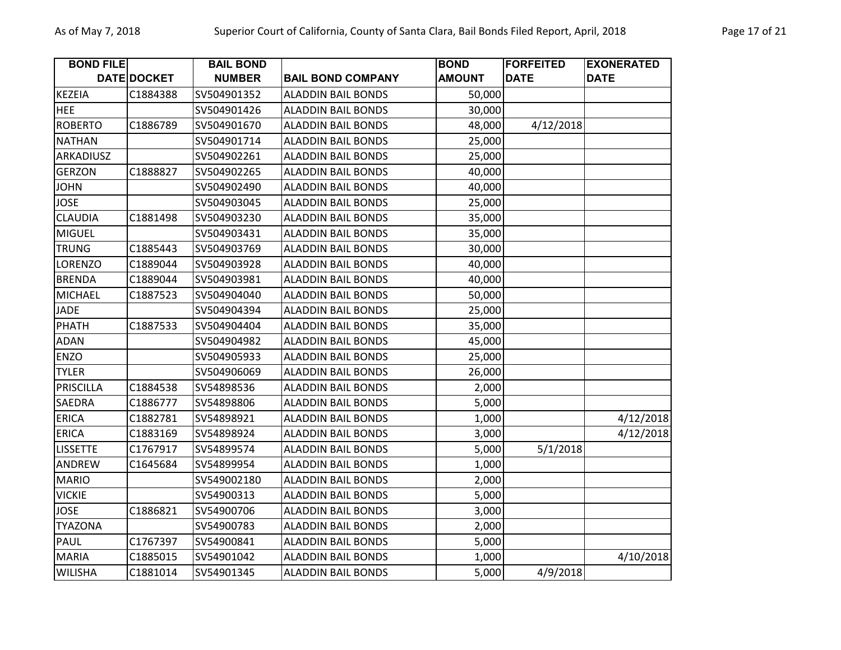| <b>BOND FILE</b> |             | <b>BAIL BOND</b> |                           | <b>BOND</b>   | <b>FORFEITED</b> | <b>EXONERATED</b> |
|------------------|-------------|------------------|---------------------------|---------------|------------------|-------------------|
|                  | DATE DOCKET | <b>NUMBER</b>    | <b>BAIL BOND COMPANY</b>  | <b>AMOUNT</b> | <b>DATE</b>      | <b>DATE</b>       |
| <b>KEZEIA</b>    | C1884388    | SV504901352      | <b>ALADDIN BAIL BONDS</b> | 50,000        |                  |                   |
| <b>HEE</b>       |             | SV504901426      | <b>ALADDIN BAIL BONDS</b> | 30,000        |                  |                   |
| <b>ROBERTO</b>   | C1886789    | SV504901670      | <b>ALADDIN BAIL BONDS</b> | 48,000        | 4/12/2018        |                   |
| <b>NATHAN</b>    |             | SV504901714      | <b>ALADDIN BAIL BONDS</b> | 25,000        |                  |                   |
| ARKADIUSZ        |             | SV504902261      | <b>ALADDIN BAIL BONDS</b> | 25,000        |                  |                   |
| <b>GERZON</b>    | C1888827    | SV504902265      | <b>ALADDIN BAIL BONDS</b> | 40,000        |                  |                   |
| <b>JOHN</b>      |             | SV504902490      | <b>ALADDIN BAIL BONDS</b> | 40,000        |                  |                   |
| <b>JOSE</b>      |             | SV504903045      | <b>ALADDIN BAIL BONDS</b> | 25,000        |                  |                   |
| <b>CLAUDIA</b>   | C1881498    | SV504903230      | <b>ALADDIN BAIL BONDS</b> | 35,000        |                  |                   |
| <b>MIGUEL</b>    |             | SV504903431      | <b>ALADDIN BAIL BONDS</b> | 35,000        |                  |                   |
| <b>TRUNG</b>     | C1885443    | SV504903769      | <b>ALADDIN BAIL BONDS</b> | 30,000        |                  |                   |
| <b>LORENZO</b>   | C1889044    | SV504903928      | <b>ALADDIN BAIL BONDS</b> | 40,000        |                  |                   |
| <b>BRENDA</b>    | C1889044    | SV504903981      | <b>ALADDIN BAIL BONDS</b> | 40,000        |                  |                   |
| <b>MICHAEL</b>   | C1887523    | SV504904040      | <b>ALADDIN BAIL BONDS</b> | 50,000        |                  |                   |
| <b>JADE</b>      |             | SV504904394      | <b>ALADDIN BAIL BONDS</b> | 25,000        |                  |                   |
| <b>PHATH</b>     | C1887533    | SV504904404      | <b>ALADDIN BAIL BONDS</b> | 35,000        |                  |                   |
| <b>ADAN</b>      |             | SV504904982      | <b>ALADDIN BAIL BONDS</b> | 45,000        |                  |                   |
| <b>ENZO</b>      |             | SV504905933      | <b>ALADDIN BAIL BONDS</b> | 25,000        |                  |                   |
| <b>TYLER</b>     |             | SV504906069      | <b>ALADDIN BAIL BONDS</b> | 26,000        |                  |                   |
| PRISCILLA        | C1884538    | SV54898536       | <b>ALADDIN BAIL BONDS</b> | 2,000         |                  |                   |
| SAEDRA           | C1886777    | SV54898806       | <b>ALADDIN BAIL BONDS</b> | 5,000         |                  |                   |
| <b>ERICA</b>     | C1882781    | SV54898921       | <b>ALADDIN BAIL BONDS</b> | 1,000         |                  | 4/12/2018         |
| <b>ERICA</b>     | C1883169    | SV54898924       | <b>ALADDIN BAIL BONDS</b> | 3,000         |                  | 4/12/2018         |
| <b>LISSETTE</b>  | C1767917    | SV54899574       | <b>ALADDIN BAIL BONDS</b> | 5,000         | 5/1/2018         |                   |
| ANDREW           | C1645684    | SV54899954       | <b>ALADDIN BAIL BONDS</b> | 1,000         |                  |                   |
| <b>MARIO</b>     |             | SV549002180      | <b>ALADDIN BAIL BONDS</b> | 2,000         |                  |                   |
| <b>VICKIE</b>    |             | SV54900313       | <b>ALADDIN BAIL BONDS</b> | 5,000         |                  |                   |
| <b>JOSE</b>      | C1886821    | SV54900706       | <b>ALADDIN BAIL BONDS</b> | 3,000         |                  |                   |
| <b>TYAZONA</b>   |             | SV54900783       | <b>ALADDIN BAIL BONDS</b> | 2,000         |                  |                   |
| PAUL             | C1767397    | SV54900841       | <b>ALADDIN BAIL BONDS</b> | 5,000         |                  |                   |
| <b>MARIA</b>     | C1885015    | SV54901042       | <b>ALADDIN BAIL BONDS</b> | 1,000         |                  | 4/10/2018         |
| <b>WILISHA</b>   | C1881014    | SV54901345       | <b>ALADDIN BAIL BONDS</b> | 5,000         | 4/9/2018         |                   |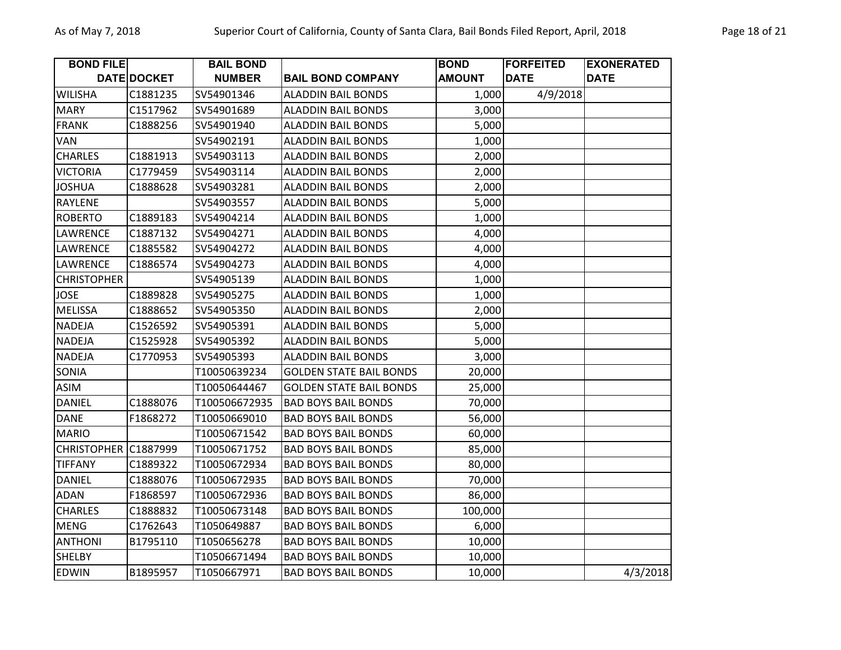| <b>BOND FILE</b>   |                    | <b>BAIL BOND</b> |                                | <b>BOND</b>   | <b>FORFEITED</b> | <b>EXONERATED</b> |
|--------------------|--------------------|------------------|--------------------------------|---------------|------------------|-------------------|
|                    | <b>DATE DOCKET</b> | <b>NUMBER</b>    | <b>BAIL BOND COMPANY</b>       | <b>AMOUNT</b> | <b>DATE</b>      | <b>DATE</b>       |
| <b>WILISHA</b>     | C1881235           | SV54901346       | <b>ALADDIN BAIL BONDS</b>      | 1,000         | 4/9/2018         |                   |
| <b>MARY</b>        | C1517962           | SV54901689       | <b>ALADDIN BAIL BONDS</b>      | 3,000         |                  |                   |
| <b>FRANK</b>       | C1888256           | SV54901940       | <b>ALADDIN BAIL BONDS</b>      | 5,000         |                  |                   |
| <b>VAN</b>         |                    | SV54902191       | <b>ALADDIN BAIL BONDS</b>      | 1,000         |                  |                   |
| <b>CHARLES</b>     | C1881913           | SV54903113       | <b>ALADDIN BAIL BONDS</b>      | 2,000         |                  |                   |
| <b>VICTORIA</b>    | C1779459           | SV54903114       | <b>ALADDIN BAIL BONDS</b>      | 2,000         |                  |                   |
| <b>JOSHUA</b>      | C1888628           | SV54903281       | <b>ALADDIN BAIL BONDS</b>      | 2,000         |                  |                   |
| <b>RAYLENE</b>     |                    | SV54903557       | <b>ALADDIN BAIL BONDS</b>      | 5,000         |                  |                   |
| <b>ROBERTO</b>     | C1889183           | SV54904214       | <b>ALADDIN BAIL BONDS</b>      | 1,000         |                  |                   |
| LAWRENCE           | C1887132           | SV54904271       | <b>ALADDIN BAIL BONDS</b>      | 4,000         |                  |                   |
| <b>LAWRENCE</b>    | C1885582           | SV54904272       | <b>ALADDIN BAIL BONDS</b>      | 4,000         |                  |                   |
| LAWRENCE           | C1886574           | SV54904273       | <b>ALADDIN BAIL BONDS</b>      | 4,000         |                  |                   |
| <b>CHRISTOPHER</b> |                    | SV54905139       | <b>ALADDIN BAIL BONDS</b>      | 1,000         |                  |                   |
| <b>JOSE</b>        | C1889828           | SV54905275       | <b>ALADDIN BAIL BONDS</b>      | 1,000         |                  |                   |
| <b>MELISSA</b>     | C1888652           | SV54905350       | <b>ALADDIN BAIL BONDS</b>      | 2,000         |                  |                   |
| <b>NADEJA</b>      | C1526592           | SV54905391       | <b>ALADDIN BAIL BONDS</b>      | 5,000         |                  |                   |
| <b>NADEJA</b>      | C1525928           | SV54905392       | <b>ALADDIN BAIL BONDS</b>      | 5,000         |                  |                   |
| <b>NADEJA</b>      | C1770953           | SV54905393       | <b>ALADDIN BAIL BONDS</b>      | 3,000         |                  |                   |
| SONIA              |                    | T10050639234     | <b>GOLDEN STATE BAIL BONDS</b> | 20,000        |                  |                   |
| ASIM               |                    | T10050644467     | <b>GOLDEN STATE BAIL BONDS</b> | 25,000        |                  |                   |
| <b>DANIEL</b>      | C1888076           | T100506672935    | <b>BAD BOYS BAIL BONDS</b>     | 70,000        |                  |                   |
| <b>DANE</b>        | F1868272           | T10050669010     | <b>BAD BOYS BAIL BONDS</b>     | 56,000        |                  |                   |
| <b>MARIO</b>       |                    | T10050671542     | <b>BAD BOYS BAIL BONDS</b>     | 60,000        |                  |                   |
| <b>CHRISTOPHER</b> | C1887999           | T10050671752     | <b>BAD BOYS BAIL BONDS</b>     | 85,000        |                  |                   |
| <b>TIFFANY</b>     | C1889322           | T10050672934     | <b>BAD BOYS BAIL BONDS</b>     | 80,000        |                  |                   |
| <b>DANIEL</b>      | C1888076           | T10050672935     | <b>BAD BOYS BAIL BONDS</b>     | 70,000        |                  |                   |
| <b>ADAN</b>        | F1868597           | T10050672936     | <b>BAD BOYS BAIL BONDS</b>     | 86,000        |                  |                   |
| <b>CHARLES</b>     | C1888832           | T10050673148     | <b>BAD BOYS BAIL BONDS</b>     | 100,000       |                  |                   |
| <b>MENG</b>        | C1762643           | T1050649887      | <b>BAD BOYS BAIL BONDS</b>     | 6,000         |                  |                   |
| <b>ANTHONI</b>     | B1795110           | T1050656278      | <b>BAD BOYS BAIL BONDS</b>     | 10,000        |                  |                   |
| <b>SHELBY</b>      |                    | T10506671494     | <b>BAD BOYS BAIL BONDS</b>     | 10,000        |                  |                   |
| <b>EDWIN</b>       | B1895957           | T1050667971      | <b>BAD BOYS BAIL BONDS</b>     | 10,000        |                  | 4/3/2018          |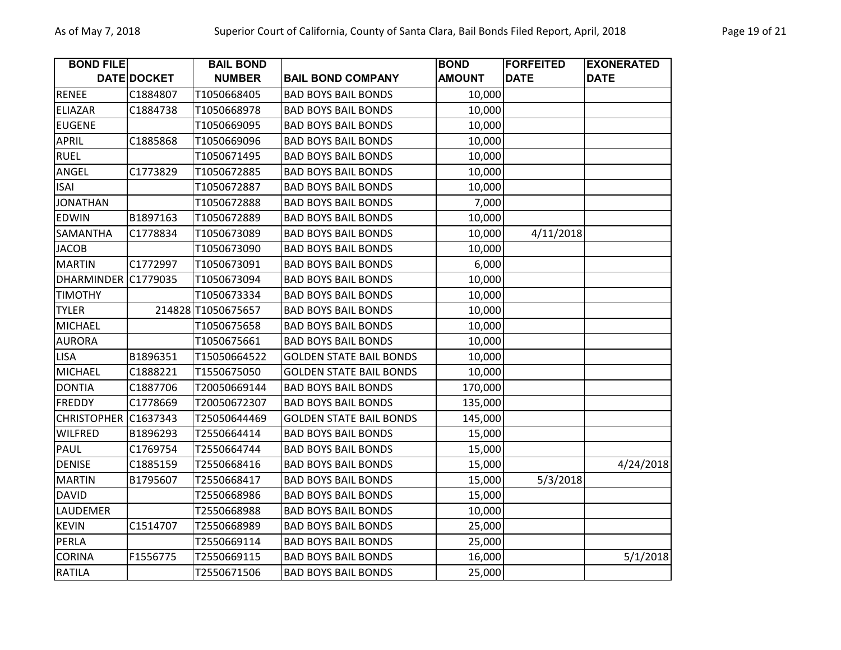| <b>BOND FILE</b>   |             | <b>BAIL BOND</b>   |                                | <b>BOND</b>   | <b>FORFEITED</b> | <b>EXONERATED</b> |
|--------------------|-------------|--------------------|--------------------------------|---------------|------------------|-------------------|
|                    | DATE DOCKET | <b>NUMBER</b>      | <b>BAIL BOND COMPANY</b>       | <b>AMOUNT</b> | <b>DATE</b>      | <b>DATE</b>       |
| <b>RENEE</b>       | C1884807    | T1050668405        | <b>BAD BOYS BAIL BONDS</b>     | 10,000        |                  |                   |
| <b>ELIAZAR</b>     | C1884738    | T1050668978        | <b>BAD BOYS BAIL BONDS</b>     | 10,000        |                  |                   |
| <b>EUGENE</b>      |             | T1050669095        | <b>BAD BOYS BAIL BONDS</b>     | 10,000        |                  |                   |
| <b>APRIL</b>       | C1885868    | T1050669096        | <b>BAD BOYS BAIL BONDS</b>     | 10,000        |                  |                   |
| <b>RUEL</b>        |             | T1050671495        | <b>BAD BOYS BAIL BONDS</b>     | 10,000        |                  |                   |
| ANGEL              | C1773829    | T1050672885        | <b>BAD BOYS BAIL BONDS</b>     | 10,000        |                  |                   |
| <b>ISAI</b>        |             | T1050672887        | <b>BAD BOYS BAIL BONDS</b>     | 10,000        |                  |                   |
| <b>JONATHAN</b>    |             | T1050672888        | <b>BAD BOYS BAIL BONDS</b>     | 7,000         |                  |                   |
| EDWIN              | B1897163    | T1050672889        | <b>BAD BOYS BAIL BONDS</b>     | 10,000        |                  |                   |
| <b>SAMANTHA</b>    | C1778834    | T1050673089        | <b>BAD BOYS BAIL BONDS</b>     | 10,000        | 4/11/2018        |                   |
| <b>JACOB</b>       |             | T1050673090        | <b>BAD BOYS BAIL BONDS</b>     | 10,000        |                  |                   |
| <b>MARTIN</b>      | C1772997    | T1050673091        | <b>BAD BOYS BAIL BONDS</b>     | 6,000         |                  |                   |
| <b>DHARMINDER</b>  | C1779035    | T1050673094        | <b>BAD BOYS BAIL BONDS</b>     | 10,000        |                  |                   |
| <b>TIMOTHY</b>     |             | T1050673334        | <b>BAD BOYS BAIL BONDS</b>     | 10,000        |                  |                   |
| <b>TYLER</b>       |             | 214828 T1050675657 | <b>BAD BOYS BAIL BONDS</b>     | 10,000        |                  |                   |
| <b>MICHAEL</b>     |             | T1050675658        | <b>BAD BOYS BAIL BONDS</b>     | 10,000        |                  |                   |
| <b>AURORA</b>      |             | T1050675661        | <b>BAD BOYS BAIL BONDS</b>     | 10,000        |                  |                   |
| <b>LISA</b>        | B1896351    | T15050664522       | <b>GOLDEN STATE BAIL BONDS</b> | 10,000        |                  |                   |
| <b>MICHAEL</b>     | C1888221    | T1550675050        | <b>GOLDEN STATE BAIL BONDS</b> | 10,000        |                  |                   |
| <b>DONTIA</b>      | C1887706    | T20050669144       | <b>BAD BOYS BAIL BONDS</b>     | 170,000       |                  |                   |
| <b>FREDDY</b>      | C1778669    | T20050672307       | <b>BAD BOYS BAIL BONDS</b>     | 135,000       |                  |                   |
| <b>CHRISTOPHER</b> | C1637343    | T25050644469       | <b>GOLDEN STATE BAIL BONDS</b> | 145,000       |                  |                   |
| <b>WILFRED</b>     | B1896293    | T2550664414        | <b>BAD BOYS BAIL BONDS</b>     | 15,000        |                  |                   |
| PAUL               | C1769754    | T2550664744        | <b>BAD BOYS BAIL BONDS</b>     | 15,000        |                  |                   |
| <b>DENISE</b>      | C1885159    | T2550668416        | <b>BAD BOYS BAIL BONDS</b>     | 15,000        |                  | 4/24/2018         |
| <b>MARTIN</b>      | B1795607    | T2550668417        | <b>BAD BOYS BAIL BONDS</b>     | 15,000        | 5/3/2018         |                   |
| <b>DAVID</b>       |             | T2550668986        | <b>BAD BOYS BAIL BONDS</b>     | 15,000        |                  |                   |
| LAUDEMER           |             | T2550668988        | <b>BAD BOYS BAIL BONDS</b>     | 10,000        |                  |                   |
| <b>KEVIN</b>       | C1514707    | T2550668989        | <b>BAD BOYS BAIL BONDS</b>     | 25,000        |                  |                   |
| PERLA              |             | T2550669114        | <b>BAD BOYS BAIL BONDS</b>     | 25,000        |                  |                   |
| <b>CORINA</b>      | F1556775    | T2550669115        | <b>BAD BOYS BAIL BONDS</b>     | 16,000        |                  | 5/1/2018          |
| <b>RATILA</b>      |             | T2550671506        | <b>BAD BOYS BAIL BONDS</b>     | 25,000        |                  |                   |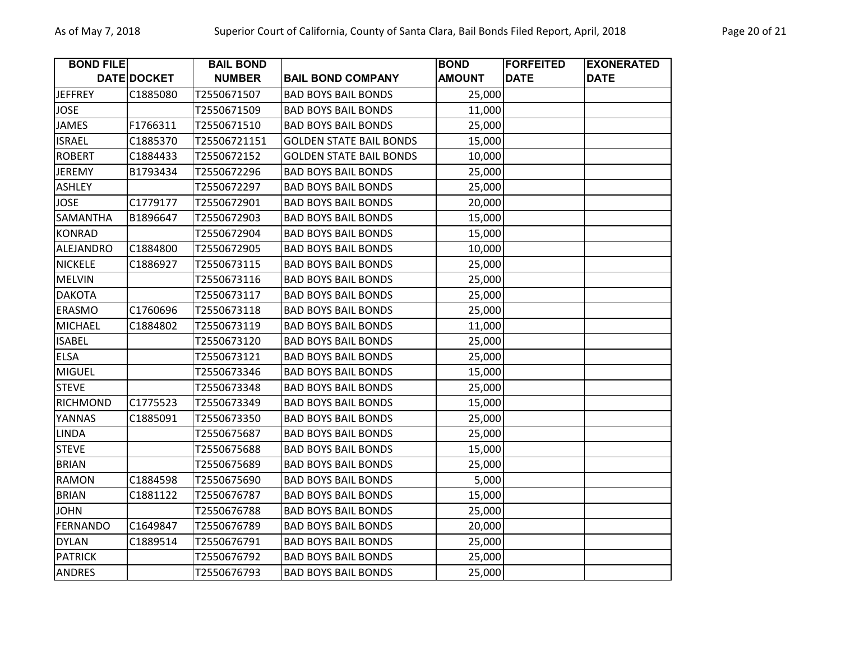| <b>BOND FILE</b> |             | <b>BAIL BOND</b> |                                | <b>BOND</b>   | <b>FORFEITED</b> | <b>EXONERATED</b> |
|------------------|-------------|------------------|--------------------------------|---------------|------------------|-------------------|
|                  | DATE DOCKET | <b>NUMBER</b>    | <b>BAIL BOND COMPANY</b>       | <b>AMOUNT</b> | <b>DATE</b>      | <b>DATE</b>       |
| <b>JEFFREY</b>   | C1885080    | T2550671507      | <b>BAD BOYS BAIL BONDS</b>     | 25,000        |                  |                   |
| <b>JOSE</b>      |             | T2550671509      | <b>BAD BOYS BAIL BONDS</b>     | 11,000        |                  |                   |
| <b>JAMES</b>     | F1766311    | T2550671510      | <b>BAD BOYS BAIL BONDS</b>     | 25,000        |                  |                   |
| <b>ISRAEL</b>    | C1885370    | T25506721151     | <b>GOLDEN STATE BAIL BONDS</b> | 15,000        |                  |                   |
| <b>ROBERT</b>    | C1884433    | T2550672152      | <b>GOLDEN STATE BAIL BONDS</b> | 10,000        |                  |                   |
| <b>JEREMY</b>    | B1793434    | T2550672296      | <b>BAD BOYS BAIL BONDS</b>     | 25,000        |                  |                   |
| <b>ASHLEY</b>    |             | T2550672297      | <b>BAD BOYS BAIL BONDS</b>     | 25,000        |                  |                   |
| <b>JOSE</b>      | C1779177    | T2550672901      | <b>BAD BOYS BAIL BONDS</b>     | 20,000        |                  |                   |
| SAMANTHA         | B1896647    | T2550672903      | <b>BAD BOYS BAIL BONDS</b>     | 15,000        |                  |                   |
| <b>KONRAD</b>    |             | T2550672904      | <b>BAD BOYS BAIL BONDS</b>     | 15,000        |                  |                   |
| <b>ALEJANDRO</b> | C1884800    | T2550672905      | <b>BAD BOYS BAIL BONDS</b>     | 10,000        |                  |                   |
| <b>NICKELE</b>   | C1886927    | T2550673115      | <b>BAD BOYS BAIL BONDS</b>     | 25,000        |                  |                   |
| <b>MELVIN</b>    |             | T2550673116      | <b>BAD BOYS BAIL BONDS</b>     | 25,000        |                  |                   |
| <b>DAKOTA</b>    |             | T2550673117      | <b>BAD BOYS BAIL BONDS</b>     | 25,000        |                  |                   |
| <b>ERASMO</b>    | C1760696    | T2550673118      | <b>BAD BOYS BAIL BONDS</b>     | 25,000        |                  |                   |
| <b>MICHAEL</b>   | C1884802    | T2550673119      | <b>BAD BOYS BAIL BONDS</b>     | 11,000        |                  |                   |
| <b>ISABEL</b>    |             | T2550673120      | <b>BAD BOYS BAIL BONDS</b>     | 25,000        |                  |                   |
| <b>ELSA</b>      |             | T2550673121      | <b>BAD BOYS BAIL BONDS</b>     | 25,000        |                  |                   |
| <b>MIGUEL</b>    |             | T2550673346      | <b>BAD BOYS BAIL BONDS</b>     | 15,000        |                  |                   |
| <b>STEVE</b>     |             | T2550673348      | <b>BAD BOYS BAIL BONDS</b>     | 25,000        |                  |                   |
| <b>RICHMOND</b>  | C1775523    | T2550673349      | <b>BAD BOYS BAIL BONDS</b>     | 15,000        |                  |                   |
| YANNAS           | C1885091    | T2550673350      | <b>BAD BOYS BAIL BONDS</b>     | 25,000        |                  |                   |
| <b>LINDA</b>     |             | T2550675687      | <b>BAD BOYS BAIL BONDS</b>     | 25,000        |                  |                   |
| <b>STEVE</b>     |             | T2550675688      | <b>BAD BOYS BAIL BONDS</b>     | 15,000        |                  |                   |
| <b>BRIAN</b>     |             | T2550675689      | <b>BAD BOYS BAIL BONDS</b>     | 25,000        |                  |                   |
| <b>RAMON</b>     | C1884598    | T2550675690      | <b>BAD BOYS BAIL BONDS</b>     | 5,000         |                  |                   |
| <b>BRIAN</b>     | C1881122    | T2550676787      | <b>BAD BOYS BAIL BONDS</b>     | 15,000        |                  |                   |
| <b>JOHN</b>      |             | T2550676788      | <b>BAD BOYS BAIL BONDS</b>     | 25,000        |                  |                   |
| <b>FERNANDO</b>  | C1649847    | T2550676789      | <b>BAD BOYS BAIL BONDS</b>     | 20,000        |                  |                   |
| <b>DYLAN</b>     | C1889514    | T2550676791      | <b>BAD BOYS BAIL BONDS</b>     | 25,000        |                  |                   |
| <b>PATRICK</b>   |             | T2550676792      | <b>BAD BOYS BAIL BONDS</b>     | 25,000        |                  |                   |
| <b>ANDRES</b>    |             | T2550676793      | <b>BAD BOYS BAIL BONDS</b>     | 25,000        |                  |                   |